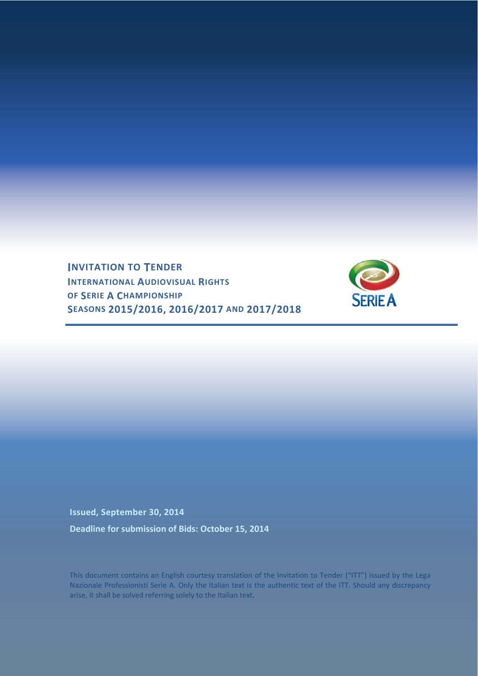**INVITATION TO TENDER INTERNATIONAL AUDIOVISUAL RIGHTS OF SERIE A CHAMPIONSHIP SEASONS 2015/2016, 2016/2017 AND 2017/2018**



**Issued, September 30, 2014 Deadline for submission of Bids: October 15, 2014**

This document contains an English courtesy translation of the Invitation to Tender ("ITT") issued by the Lega Nazionale Professionisti Serie A. Only the Italian text is the authentic text of the ITT. Should any discrepancy arise, it shall be solved referring solely to the Italian text.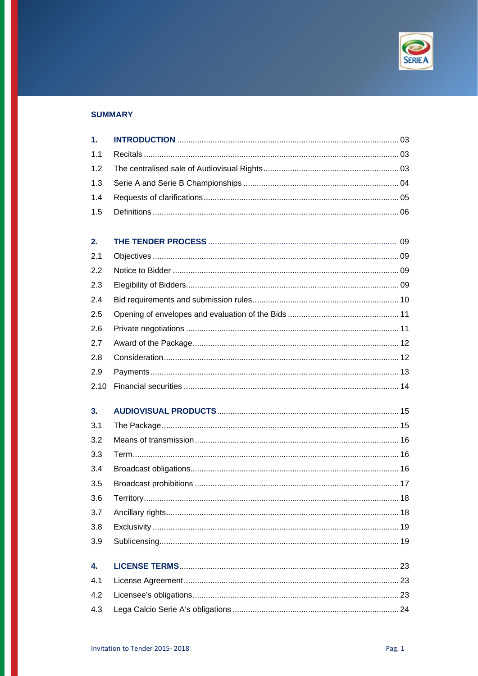

# **SUMMARY**

| $\mathbf{1}$ . |  |
|----------------|--|
| 1.1            |  |
| 1.2            |  |
| 1.3            |  |
| 1.4            |  |
| 1.5            |  |
|                |  |
| 2.             |  |
| 2.1            |  |
| 2.2            |  |
| 2.3            |  |
| 2.4            |  |
| 2.5            |  |
| 2.6            |  |
| 2.7            |  |
| 2.8            |  |
| 2.9            |  |
| 2.10           |  |
| 3.             |  |
| 3.1            |  |
| 3.2            |  |
| 3.3            |  |
| 3.4            |  |
| 3.5            |  |
| 3.6            |  |
| 3.7            |  |
| 3.8            |  |
| 3.9            |  |
|                |  |
| 4.             |  |
| 4.1            |  |
| 4.2            |  |
| 4.3            |  |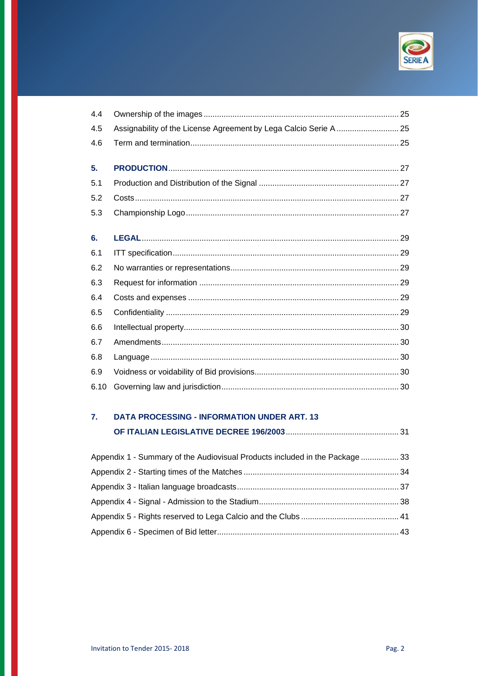

| 4.4  |                                                                   |
|------|-------------------------------------------------------------------|
| 4.5  | Assignability of the License Agreement by Lega Calcio Serie A  25 |
| 4.6  |                                                                   |
|      |                                                                   |
| 5.   |                                                                   |
| 5.1  |                                                                   |
| 5.2  |                                                                   |
| 5.3  |                                                                   |
|      |                                                                   |
| 6.   |                                                                   |
| 6.1  |                                                                   |
| 6.2  |                                                                   |
| 6.3  |                                                                   |
| 6.4  |                                                                   |
| 6.5  |                                                                   |
| 6.6  |                                                                   |
| 6.7  |                                                                   |
| 6.8  |                                                                   |
| 6.9  |                                                                   |
| 6.10 |                                                                   |

# 7. DATA PROCESSING - INFORMATION UNDER ART. 13

| Appendix 1 - Summary of the Audiovisual Products included in the Package 33 |  |
|-----------------------------------------------------------------------------|--|
|                                                                             |  |
|                                                                             |  |
|                                                                             |  |
|                                                                             |  |
|                                                                             |  |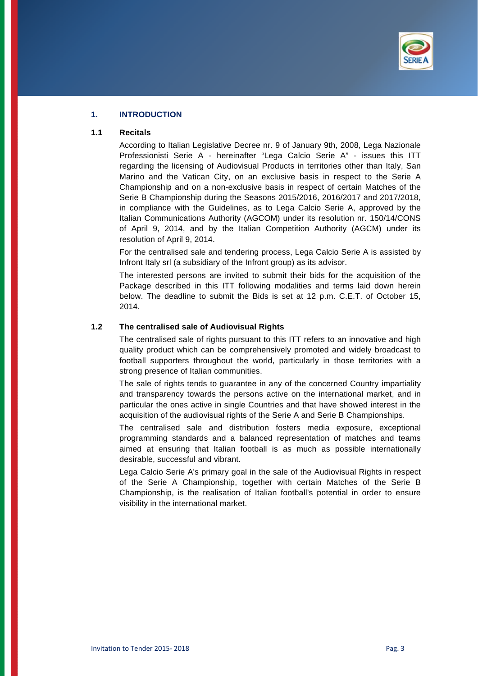

# **1. INTRODUCTION**

#### **1.1 Recitals**

According to Italian Legislative Decree nr. 9 of January 9th, 2008, Lega Nazionale Professionisti Serie A - hereinafter "Lega Calcio Serie A" - issues this ITT regarding the licensing of Audiovisual Products in territories other than Italy, San Marino and the Vatican City, on an exclusive basis in respect to the Serie A Championship and on a non-exclusive basis in respect of certain Matches of the Serie B Championship during the Seasons 2015/2016, 2016/2017 and 2017/2018, in compliance with the Guidelines, as to Lega Calcio Serie A, approved by the Italian Communications Authority (AGCOM) under its resolution nr. 150/14/CONS of April 9, 2014, and by the Italian Competition Authority (AGCM) under its resolution of April 9, 2014.

For the centralised sale and tendering process, Lega Calcio Serie A is assisted by Infront Italy srl (a subsidiary of the Infront group) as its advisor.

The interested persons are invited to submit their bids for the acquisition of the Package described in this ITT following modalities and terms laid down herein below. The deadline to submit the Bids is set at 12 p.m. C.E.T. of October 15, 2014.

#### **1.2 The centralised sale of Audiovisual Rights**

The centralised sale of rights pursuant to this ITT refers to an innovative and high quality product which can be comprehensively promoted and widely broadcast to football supporters throughout the world, particularly in those territories with a strong presence of Italian communities.

The sale of rights tends to guarantee in any of the concerned Country impartiality and transparency towards the persons active on the international market, and in particular the ones active in single Countries and that have showed interest in the acquisition of the audiovisual rights of the Serie A and Serie B Championships.

The centralised sale and distribution fosters media exposure, exceptional programming standards and a balanced representation of matches and teams aimed at ensuring that Italian football is as much as possible internationally desirable, successful and vibrant.

Lega Calcio Serie A's primary goal in the sale of the Audiovisual Rights in respect of the Serie A Championship, together with certain Matches of the Serie B Championship, is the realisation of Italian football's potential in order to ensure visibility in the international market.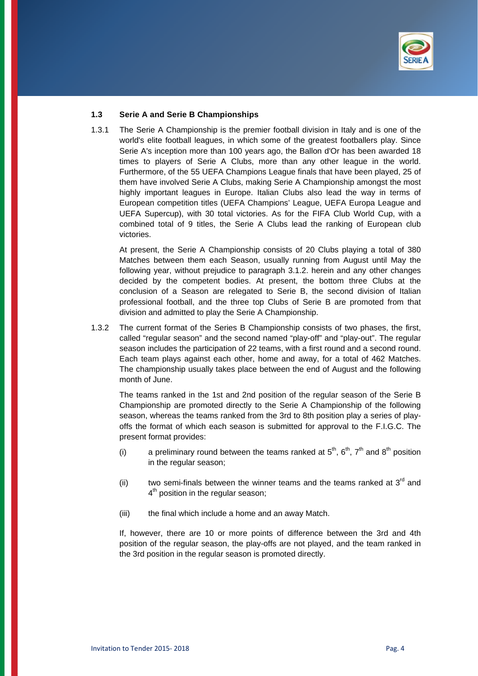

#### **1.3 Serie A and Serie B Championships**

1.3.1 The Serie A Championship is the premier football division in Italy and is one of the world's elite football leagues, in which some of the greatest footballers play. Since Serie A's inception more than 100 years ago, the Ballon d'Or has been awarded 18 times to players of Serie A Clubs, more than any other league in the world. Furthermore, of the 55 UEFA Champions League finals that have been played, 25 of them have involved Serie A Clubs, making Serie A Championship amongst the most highly important leagues in Europe. Italian Clubs also lead the way in terms of European competition titles (UEFA Champions' League, UEFA Europa League and UEFA Supercup), with 30 total victories. As for the FIFA Club World Cup, with a combined total of 9 titles, the Serie A Clubs lead the ranking of European club victories.

 At present, the Serie A Championship consists of 20 Clubs playing a total of 380 Matches between them each Season, usually running from August until May the following year, without prejudice to paragraph 3.1.2. herein and any other changes decided by the competent bodies. At present, the bottom three Clubs at the conclusion of a Season are relegated to Serie B, the second division of Italian professional football, and the three top Clubs of Serie B are promoted from that division and admitted to play the Serie A Championship.

1.3.2 The current format of the Series B Championship consists of two phases, the first, called "regular season" and the second named "play-off" and "play-out". The regular season includes the participation of 22 teams, with a first round and a second round. Each team plays against each other, home and away, for a total of 462 Matches. The championship usually takes place between the end of August and the following month of June.

 The teams ranked in the 1st and 2nd position of the regular season of the Serie B Championship are promoted directly to the Serie A Championship of the following season, whereas the teams ranked from the 3rd to 8th position play a series of playoffs the format of which each season is submitted for approval to the F.I.G.C. The present format provides:

- (i) a preliminary round between the teams ranked at  $5<sup>th</sup>$ ,  $6<sup>th</sup>$ ,  $7<sup>th</sup>$  and  $8<sup>th</sup>$  position in the regular season;
- (ii) two semi-finals between the winner teams and the teams ranked at  $3<sup>rd</sup>$  and  $4<sup>th</sup>$  position in the regular season;
- (iii) the final which include a home and an away Match.

 If, however, there are 10 or more points of difference between the 3rd and 4th position of the regular season, the play-offs are not played, and the team ranked in the 3rd position in the regular season is promoted directly.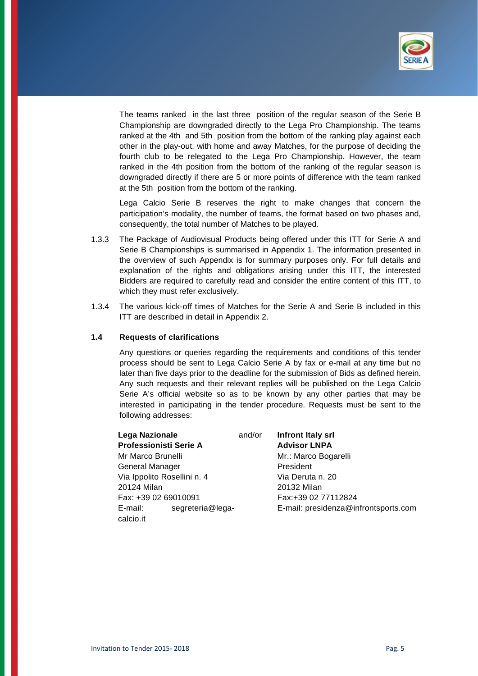

 The teams ranked in the last three position of the regular season of the Serie B Championship are downgraded directly to the Lega Pro Championship. The teams ranked at the 4th and 5th position from the bottom of the ranking play against each other in the play-out, with home and away Matches, for the purpose of deciding the fourth club to be relegated to the Lega Pro Championship. However, the team ranked in the 4th position from the bottom of the ranking of the regular season is downgraded directly if there are 5 or more points of difference with the team ranked at the 5th position from the bottom of the ranking.

 Lega Calcio Serie B reserves the right to make changes that concern the participation's modality, the number of teams, the format based on two phases and, consequently, the total number of Matches to be played.

- 1.3.3 The Package of Audiovisual Products being offered under this ITT for Serie A and Serie B Championships is summarised in Appendix 1. The information presented in the overview of such Appendix is for summary purposes only. For full details and explanation of the rights and obligations arising under this ITT, the interested Bidders are required to carefully read and consider the entire content of this ITT, to which they must refer exclusively.
- 1.3.4 The various kick-off times of Matches for the Serie A and Serie B included in this ITT are described in detail in Appendix 2.

## **1.4 Requests of clarifications**

 Any questions or queries regarding the requirements and conditions of this tender process should be sent to Lega Calcio Serie A by fax or e-mail at any time but no later than five days prior to the deadline for the submission of Bids as defined herein. Any such requests and their relevant replies will be published on the Lega Calcio Serie A's official website so as to be known by any other parties that may be interested in participating in the tender procedure. Requests must be sent to the following addresses:

| <b>Lega Nazionale</b>         | and/or | Infront Italy srl                    |
|-------------------------------|--------|--------------------------------------|
| <b>Professionisti Serie A</b> |        | <b>Advisor LNPA</b>                  |
| Mr Marco Brunelli             |        | Mr.: Marco Bogarelli                 |
| General Manager               |        | President                            |
| Via Ippolito Rosellini n. 4   |        | Via Deruta n. 20                     |
| 20124 Milan                   |        | 20132 Milan                          |
| Fax: +39 02 69010091          |        | Fax: +39 02 77112824                 |
| segreteria@lega-<br>E-mail:   |        | E-mail: presidenza@infrontsports.com |
| calcio.it                     |        |                                      |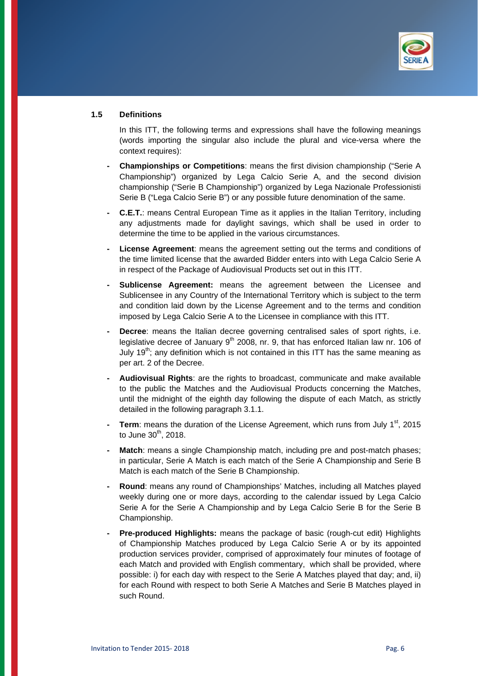

#### **1.5 Definitions**

In this ITT, the following terms and expressions shall have the following meanings (words importing the singular also include the plural and vice-versa where the context requires):

- **Championships or Competitions**: means the first division championship ("Serie A Championship") organized by Lega Calcio Serie A, and the second division championship ("Serie B Championship") organized by Lega Nazionale Professionisti Serie B ("Lega Calcio Serie B") or any possible future denomination of the same.
- **- C.E.T.**: means Central European Time as it applies in the Italian Territory, including any adjustments made for daylight savings, which shall be used in order to determine the time to be applied in the various circumstances.
- **License Agreement**: means the agreement setting out the terms and conditions of the time limited license that the awarded Bidder enters into with Lega Calcio Serie A in respect of the Package of Audiovisual Products set out in this ITT.
- Sublicense Agreement: means the agreement between the Licensee and Sublicensee in any Country of the International Territory which is subject to the term and condition laid down by the License Agreement and to the terms and condition imposed by Lega Calcio Serie A to the Licensee in compliance with this ITT.
- **Decree:** means the Italian decree governing centralised sales of sport rights, i.e. legislative decree of January  $9<sup>th</sup>$  2008, nr. 9, that has enforced Italian law nr. 106 of July 19<sup>th</sup>; any definition which is not contained in this ITT has the same meaning as per art. 2 of the Decree.
- **Audiovisual Rights**: are the rights to broadcast, communicate and make available to the public the Matches and the Audiovisual Products concerning the Matches, until the midnight of the eighth day following the dispute of each Match, as strictly detailed in the following paragraph 3.1.1.
- **Term:** means the duration of the License Agreement, which runs from July 1<sup>st</sup>, 2015 to June  $30<sup>th</sup>$ , 2018.
- **Match:** means a single Championship match, including pre and post-match phases; in particular, Serie A Match is each match of the Serie A Championship and Serie B Match is each match of the Serie B Championship.
- **Round**: means any round of Championships' Matches, including all Matches played weekly during one or more days, according to the calendar issued by Lega Calcio Serie A for the Serie A Championship and by Lega Calcio Serie B for the Serie B Championship.
- **Pre-produced Highlights:** means the package of basic (rough-cut edit) Highlights of Championship Matches produced by Lega Calcio Serie A or by its appointed production services provider, comprised of approximately four minutes of footage of each Match and provided with English commentary, which shall be provided, where possible: i) for each day with respect to the Serie A Matches played that day; and, ii) for each Round with respect to both Serie A Matches and Serie B Matches played in such Round.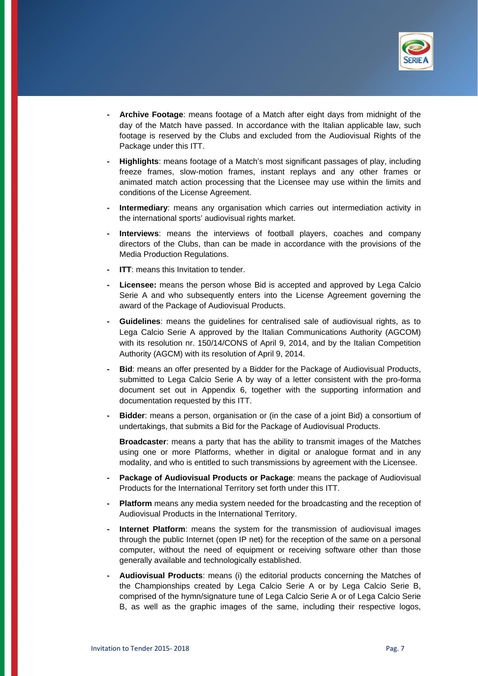

- **Archive Footage**: means footage of a Match after eight days from midnight of the day of the Match have passed. In accordance with the Italian applicable law, such footage is reserved by the Clubs and excluded from the Audiovisual Rights of the Package under this ITT.
- **Highlights**: means footage of a Match's most significant passages of play, including freeze frames, slow-motion frames, instant replays and any other frames or animated match action processing that the Licensee may use within the limits and conditions of the License Agreement.
- **Intermediary:** means any organisation which carries out intermediation activity in the international sports' audiovisual rights market.
- **Interviews**: means the interviews of football players, coaches and company directors of the Clubs, than can be made in accordance with the provisions of the Media Production Regulations.
- **ITT:** means this Invitation to tender.
- **Licensee:** means the person whose Bid is accepted and approved by Lega Calcio Serie A and who subsequently enters into the License Agreement governing the award of the Package of Audiovisual Products.
- **Guidelines**: means the guidelines for centralised sale of audiovisual rights, as to Lega Calcio Serie A approved by the Italian Communications Authority (AGCOM) with its resolution nr. 150/14/CONS of April 9, 2014, and by the Italian Competition Authority (AGCM) with its resolution of April 9, 2014.
- **Bid**: means an offer presented by a Bidder for the Package of Audiovisual Products, submitted to Lega Calcio Serie A by way of a letter consistent with the pro-forma document set out in Appendix 6, together with the supporting information and documentation requested by this ITT.
- **Bidder:** means a person, organisation or (in the case of a joint Bid) a consortium of undertakings, that submits a Bid for the Package of Audiovisual Products.

 **Broadcaster**: means a party that has the ability to transmit images of the Matches using one or more Platforms, whether in digital or analogue format and in any modality, and who is entitled to such transmissions by agreement with the Licensee.

- **- Package of Audiovisual Products or Package**: means the package of Audiovisual Products for the International Territory set forth under this ITT.
- **Platform** means any media system needed for the broadcasting and the reception of Audiovisual Products in the International Territory.
- **Internet Platform**: means the system for the transmission of audiovisual images through the public Internet (open IP net) for the reception of the same on a personal computer, without the need of equipment or receiving software other than those generally available and technologically established.
- **Audiovisual Products**: means (i) the editorial products concerning the Matches of the Championships created by Lega Calcio Serie A or by Lega Calcio Serie B, comprised of the hymn/signature tune of Lega Calcio Serie A or of Lega Calcio Serie B, as well as the graphic images of the same, including their respective logos,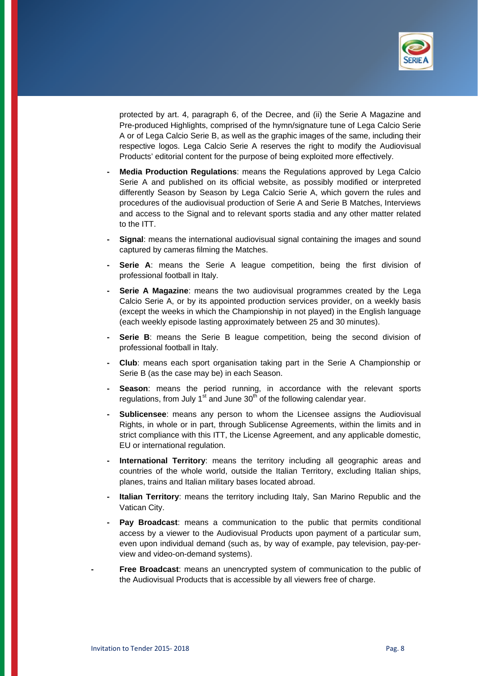

protected by art. 4, paragraph 6, of the Decree, and (ii) the Serie A Magazine and Pre-produced Highlights, comprised of the hymn/signature tune of Lega Calcio Serie A or of Lega Calcio Serie B, as well as the graphic images of the same, including their respective logos. Lega Calcio Serie A reserves the right to modify the Audiovisual Products' editorial content for the purpose of being exploited more effectively.

- **Media Production Regulations**: means the Regulations approved by Lega Calcio Serie A and published on its official website, as possibly modified or interpreted differently Season by Season by Lega Calcio Serie A, which govern the rules and procedures of the audiovisual production of Serie A and Serie B Matches, Interviews and access to the Signal and to relevant sports stadia and any other matter related to the ITT.
- **Signal**: means the international audiovisual signal containing the images and sound captured by cameras filming the Matches.
- **Serie A:** means the Serie A league competition, being the first division of professional football in Italy.
- **Serie A Magazine**: means the two audiovisual programmes created by the Lega Calcio Serie A, or by its appointed production services provider, on a weekly basis (except the weeks in which the Championship in not played) in the English language (each weekly episode lasting approximately between 25 and 30 minutes).
- **Serie B:** means the Serie B league competition, being the second division of professional football in Italy.
- **Club**: means each sport organisation taking part in the Serie A Championship or Serie B (as the case may be) in each Season.
- **Season:** means the period running, in accordance with the relevant sports regulations, from July  $1<sup>st</sup>$  and June  $30<sup>th</sup>$  of the following calendar year.
- **Sublicensee**: means any person to whom the Licensee assigns the Audiovisual Rights, in whole or in part, through Sublicense Agreements, within the limits and in strict compliance with this ITT, the License Agreement, and any applicable domestic, EU or international regulation.
- **International Territory**: means the territory including all geographic areas and countries of the whole world, outside the Italian Territory, excluding Italian ships, planes, trains and Italian military bases located abroad.
- **Italian Territory**: means the territory including Italy, San Marino Republic and the Vatican City.
- **Pay Broadcast**: means a communication to the public that permits conditional access by a viewer to the Audiovisual Products upon payment of a particular sum, even upon individual demand (such as, by way of example, pay television, pay-perview and video-on-demand systems).
- **Free Broadcast**: means an unencrypted system of communication to the public of the Audiovisual Products that is accessible by all viewers free of charge.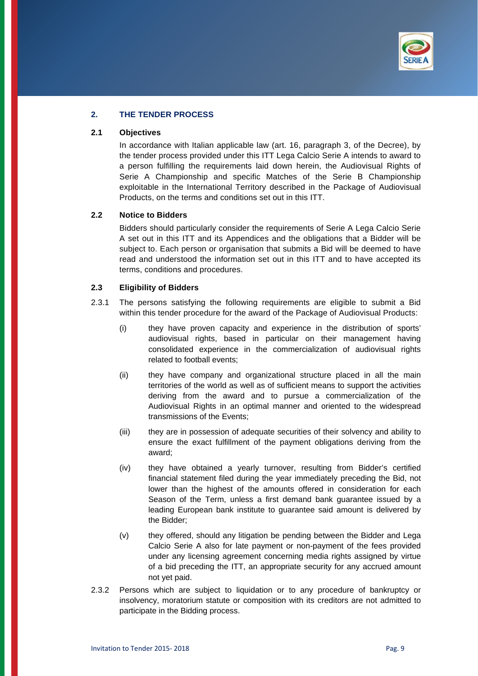

# **2. THE TENDER PROCESS**

#### **2.1 Objectives**

 In accordance with Italian applicable law (art. 16, paragraph 3, of the Decree), by the tender process provided under this ITT Lega Calcio Serie A intends to award to a person fulfilling the requirements laid down herein, the Audiovisual Rights of Serie A Championship and specific Matches of the Serie B Championship exploitable in the International Territory described in the Package of Audiovisual Products, on the terms and conditions set out in this ITT.

## **2.2 Notice to Bidders**

 Bidders should particularly consider the requirements of Serie A Lega Calcio Serie A set out in this ITT and its Appendices and the obligations that a Bidder will be subject to. Each person or organisation that submits a Bid will be deemed to have read and understood the information set out in this ITT and to have accepted its terms, conditions and procedures.

#### **2.3 Eligibility of Bidders**

- 2.3.1 The persons satisfying the following requirements are eligible to submit a Bid within this tender procedure for the award of the Package of Audiovisual Products:
	- (i) they have proven capacity and experience in the distribution of sports' audiovisual rights, based in particular on their management having consolidated experience in the commercialization of audiovisual rights related to football events;
	- (ii) they have company and organizational structure placed in all the main territories of the world as well as of sufficient means to support the activities deriving from the award and to pursue a commercialization of the Audiovisual Rights in an optimal manner and oriented to the widespread transmissions of the Events;
	- (iii) they are in possession of adequate securities of their solvency and ability to ensure the exact fulfillment of the payment obligations deriving from the award;
	- (iv) they have obtained a yearly turnover, resulting from Bidder's certified financial statement filed during the year immediately preceding the Bid, not lower than the highest of the amounts offered in consideration for each Season of the Term, unless a first demand bank guarantee issued by a leading European bank institute to guarantee said amount is delivered by the Bidder;
	- (v) they offered, should any litigation be pending between the Bidder and Lega Calcio Serie A also for late payment or non-payment of the fees provided under any licensing agreement concerning media rights assigned by virtue of a bid preceding the ITT, an appropriate security for any accrued amount not yet paid.
- 2.3.2 Persons which are subject to liquidation or to any procedure of bankruptcy or insolvency, moratorium statute or composition with its creditors are not admitted to participate in the Bidding process.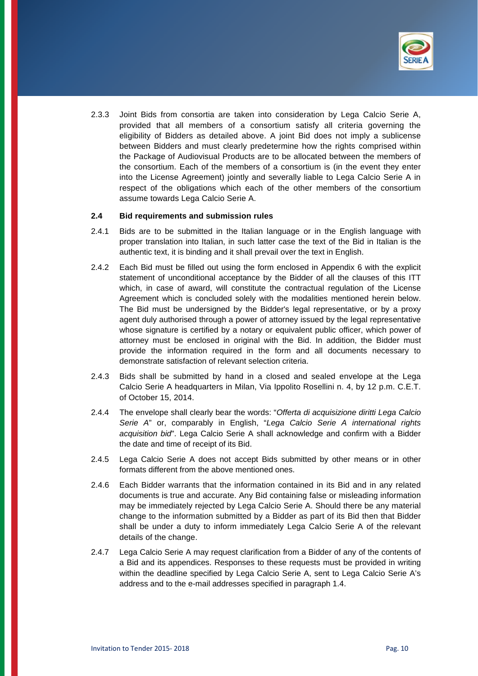

2.3.3 Joint Bids from consortia are taken into consideration by Lega Calcio Serie A, provided that all members of a consortium satisfy all criteria governing the eligibility of Bidders as detailed above. A joint Bid does not imply a sublicense between Bidders and must clearly predetermine how the rights comprised within the Package of Audiovisual Products are to be allocated between the members of the consortium. Each of the members of a consortium is (in the event they enter into the License Agreement) jointly and severally liable to Lega Calcio Serie A in respect of the obligations which each of the other members of the consortium assume towards Lega Calcio Serie A.

### **2.4 Bid requirements and submission rules**

- 2.4.1 Bids are to be submitted in the Italian language or in the English language with proper translation into Italian, in such latter case the text of the Bid in Italian is the authentic text, it is binding and it shall prevail over the text in English.
- 2.4.2 Each Bid must be filled out using the form enclosed in Appendix 6 with the explicit statement of unconditional acceptance by the Bidder of all the clauses of this ITT which, in case of award, will constitute the contractual regulation of the License Agreement which is concluded solely with the modalities mentioned herein below. The Bid must be undersigned by the Bidder's legal representative, or by a proxy agent duly authorised through a power of attorney issued by the legal representative whose signature is certified by a notary or equivalent public officer, which power of attorney must be enclosed in original with the Bid. In addition, the Bidder must provide the information required in the form and all documents necessary to demonstrate satisfaction of relevant selection criteria.
- 2.4.3 Bids shall be submitted by hand in a closed and sealed envelope at the Lega Calcio Serie A headquarters in Milan, Via Ippolito Rosellini n. 4, by 12 p.m. C.E.T. of October 15, 2014.
- 2.4.4 The envelope shall clearly bear the words: "*Offerta di acquisizione diritti Lega Calcio Serie A*" or, comparably in English, "*Lega Calcio Serie A international rights acquisition bid*". Lega Calcio Serie A shall acknowledge and confirm with a Bidder the date and time of receipt of its Bid.
- 2.4.5 Lega Calcio Serie A does not accept Bids submitted by other means or in other formats different from the above mentioned ones.
- 2.4.6 Each Bidder warrants that the information contained in its Bid and in any related documents is true and accurate. Any Bid containing false or misleading information may be immediately rejected by Lega Calcio Serie A. Should there be any material change to the information submitted by a Bidder as part of its Bid then that Bidder shall be under a duty to inform immediately Lega Calcio Serie A of the relevant details of the change.
- 2.4.7 Lega Calcio Serie A may request clarification from a Bidder of any of the contents of a Bid and its appendices. Responses to these requests must be provided in writing within the deadline specified by Lega Calcio Serie A, sent to Lega Calcio Serie A's address and to the e-mail addresses specified in paragraph 1.4.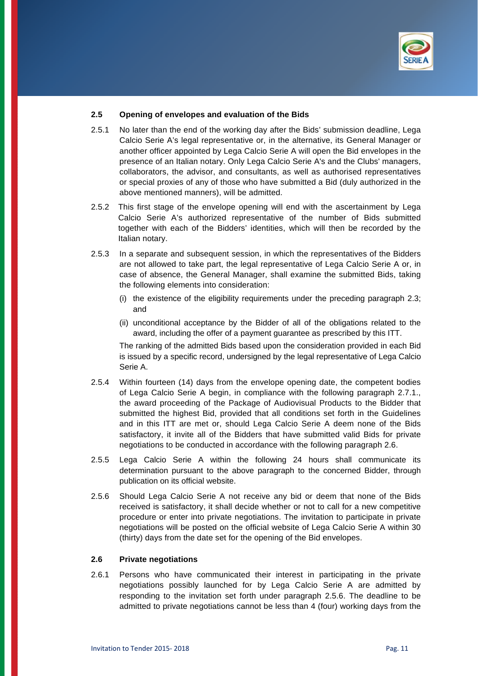

### **2.5 Opening of envelopes and evaluation of the Bids**

- 2.5.1 No later than the end of the working day after the Bids' submission deadline, Lega Calcio Serie A's legal representative or, in the alternative, its General Manager or another officer appointed by Lega Calcio Serie A will open the Bid envelopes in the presence of an Italian notary. Only Lega Calcio Serie A's and the Clubs' managers, collaborators, the advisor, and consultants, as well as authorised representatives or special proxies of any of those who have submitted a Bid (duly authorized in the above mentioned manners), will be admitted.
- 2.5.2 This first stage of the envelope opening will end with the ascertainment by Lega Calcio Serie A's authorized representative of the number of Bids submitted together with each of the Bidders' identities, which will then be recorded by the Italian notary.
- 2.5.3 In a separate and subsequent session, in which the representatives of the Bidders are not allowed to take part, the legal representative of Lega Calcio Serie A or, in case of absence, the General Manager, shall examine the submitted Bids, taking the following elements into consideration:
	- (i) the existence of the eligibility requirements under the preceding paragraph 2.3; and
	- (ii) unconditional acceptance by the Bidder of all of the obligations related to the award, including the offer of a payment guarantee as prescribed by this ITT.

The ranking of the admitted Bids based upon the consideration provided in each Bid is issued by a specific record, undersigned by the legal representative of Lega Calcio Serie A.

- 2.5.4 Within fourteen (14) days from the envelope opening date, the competent bodies of Lega Calcio Serie A begin, in compliance with the following paragraph 2.7.1., the award proceeding of the Package of Audiovisual Products to the Bidder that submitted the highest Bid, provided that all conditions set forth in the Guidelines and in this ITT are met or, should Lega Calcio Serie A deem none of the Bids satisfactory, it invite all of the Bidders that have submitted valid Bids for private negotiations to be conducted in accordance with the following paragraph 2.6.
- 2.5.5 Lega Calcio Serie A within the following 24 hours shall communicate its determination pursuant to the above paragraph to the concerned Bidder, through publication on its official website.
- 2.5.6 Should Lega Calcio Serie A not receive any bid or deem that none of the Bids received is satisfactory, it shall decide whether or not to call for a new competitive procedure or enter into private negotiations. The invitation to participate in private negotiations will be posted on the official website of Lega Calcio Serie A within 30 (thirty) days from the date set for the opening of the Bid envelopes.

#### **2.6 Private negotiations**

2.6.1 Persons who have communicated their interest in participating in the private negotiations possibly launched for by Lega Calcio Serie A are admitted by responding to the invitation set forth under paragraph 2.5.6. The deadline to be admitted to private negotiations cannot be less than 4 (four) working days from the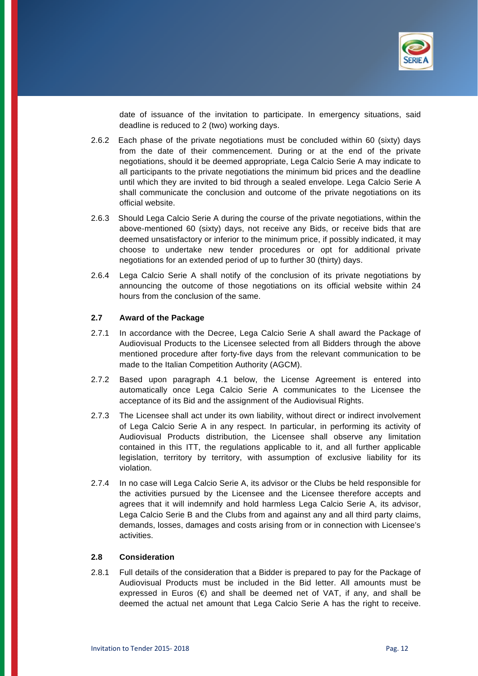

date of issuance of the invitation to participate. In emergency situations, said deadline is reduced to 2 (two) working days.

- 2.6.2 Each phase of the private negotiations must be concluded within 60 (sixty) days from the date of their commencement. During or at the end of the private negotiations, should it be deemed appropriate, Lega Calcio Serie A may indicate to all participants to the private negotiations the minimum bid prices and the deadline until which they are invited to bid through a sealed envelope. Lega Calcio Serie A shall communicate the conclusion and outcome of the private negotiations on its official website.
- 2.6.3 Should Lega Calcio Serie A during the course of the private negotiations, within the above-mentioned 60 (sixty) days, not receive any Bids, or receive bids that are deemed unsatisfactory or inferior to the minimum price, if possibly indicated, it may choose to undertake new tender procedures or opt for additional private negotiations for an extended period of up to further 30 (thirty) days.
- 2.6.4 Lega Calcio Serie A shall notify of the conclusion of its private negotiations by announcing the outcome of those negotiations on its official website within 24 hours from the conclusion of the same.

#### **2.7 Award of the Package**

- 2.7.1 In accordance with the Decree, Lega Calcio Serie A shall award the Package of Audiovisual Products to the Licensee selected from all Bidders through the above mentioned procedure after forty-five days from the relevant communication to be made to the Italian Competition Authority (AGCM).
- 2.7.2 Based upon paragraph 4.1 below, the License Agreement is entered into automatically once Lega Calcio Serie A communicates to the Licensee the acceptance of its Bid and the assignment of the Audiovisual Rights.
- 2.7.3 The Licensee shall act under its own liability, without direct or indirect involvement of Lega Calcio Serie A in any respect. In particular, in performing its activity of Audiovisual Products distribution, the Licensee shall observe any limitation contained in this ITT, the regulations applicable to it, and all further applicable legislation, territory by territory, with assumption of exclusive liability for its violation.
- 2.7.4 In no case will Lega Calcio Serie A, its advisor or the Clubs be held responsible for the activities pursued by the Licensee and the Licensee therefore accepts and agrees that it will indemnify and hold harmless Lega Calcio Serie A, its advisor, Lega Calcio Serie B and the Clubs from and against any and all third party claims, demands, losses, damages and costs arising from or in connection with Licensee's activities.

#### **2.8 Consideration**

2.8.1 Full details of the consideration that a Bidder is prepared to pay for the Package of Audiovisual Products must be included in the Bid letter. All amounts must be expressed in Euros  $(\epsilon)$  and shall be deemed net of VAT, if any, and shall be deemed the actual net amount that Lega Calcio Serie A has the right to receive.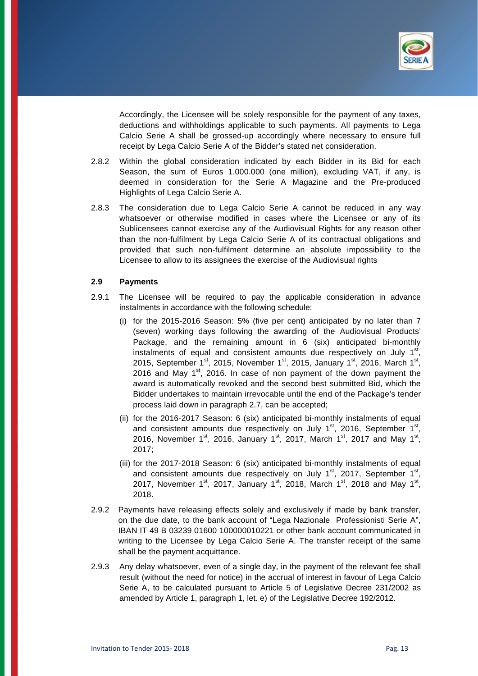

Accordingly, the Licensee will be solely responsible for the payment of any taxes, deductions and withholdings applicable to such payments. All payments to Lega Calcio Serie A shall be grossed-up accordingly where necessary to ensure full receipt by Lega Calcio Serie A of the Bidder's stated net consideration.

- 2.8.2 Within the global consideration indicated by each Bidder in its Bid for each Season, the sum of Euros 1.000.000 (one million), excluding VAT, if any, is deemed in consideration for the Serie A Magazine and the Pre-produced Highlights of Lega Calcio Serie A.
- 2.8.3 The consideration due to Lega Calcio Serie A cannot be reduced in any way whatsoever or otherwise modified in cases where the Licensee or any of its Sublicensees cannot exercise any of the Audiovisual Rights for any reason other than the non-fulfilment by Lega Calcio Serie A of its contractual obligations and provided that such non-fulfilment determine an absolute impossibility to the Licensee to allow to its assignees the exercise of the Audiovisual rights

#### **2.9 Payments**

- 2.9.1 The Licensee will be required to pay the applicable consideration in advance instalments in accordance with the following schedule:
	- (i) for the 2015-2016 Season: 5% (five per cent) anticipated by no later than 7 (seven) working days following the awarding of the Audiovisual Products' Package, and the remaining amount in 6 (six) anticipated bi-monthly instalments of equal and consistent amounts due respectively on July  $1<sup>st</sup>$ , 2015, September 1st, 2015, November 1st, 2015, January 1st, 2016, March 1st, 2016 and May  $1^{st}$ , 2016. In case of non payment of the down payment the award is automatically revoked and the second best submitted Bid, which the Bidder undertakes to maintain irrevocable until the end of the Package's tender process laid down in paragraph 2.7, can be accepted;
	- (ii) for the 2016-2017 Season: 6 (six) anticipated bi-monthly instalments of equal and consistent amounts due respectively on July  $1<sup>st</sup>$ , 2016, September  $1<sup>st</sup>$ , 2016, November 1st, 2016, January 1st, 2017, March 1st, 2017 and May 1st, 2017;
	- (iii) for the 2017-2018 Season: 6 (six) anticipated bi-monthly instalments of equal and consistent amounts due respectively on July  $1<sup>st</sup>$ , 2017, September  $1<sup>st</sup>$ , 2017, November 1st, 2017, January 1st, 2018, March 1st, 2018 and May 1st, 2018.
- 2.9.2 Payments have releasing effects solely and exclusively if made by bank transfer, on the due date, to the bank account of "Lega Nazionale Professionisti Serie A", IBAN IT 49 B 03239 01600 100000010221 or other bank account communicated in writing to the Licensee by Lega Calcio Serie A. The transfer receipt of the same shall be the payment acquittance.
- 2.9.3 Any delay whatsoever, even of a single day, in the payment of the relevant fee shall result (without the need for notice) in the accrual of interest in favour of Lega Calcio Serie A, to be calculated pursuant to Article 5 of Legislative Decree 231/2002 as amended by Article 1, paragraph 1, let. e) of the Legislative Decree 192/2012.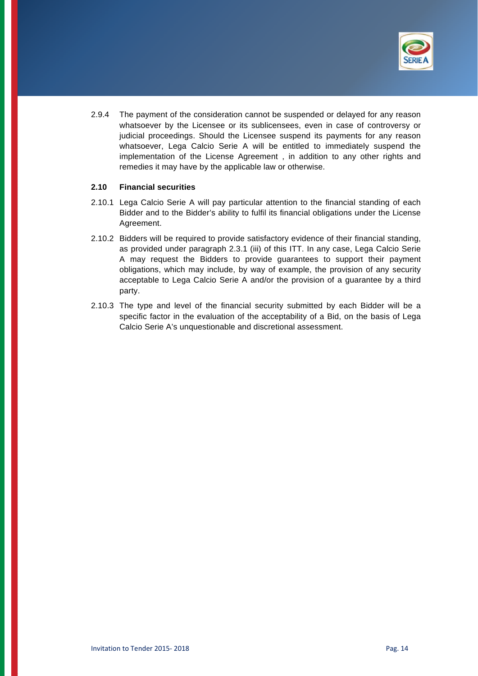

2.9.4 The payment of the consideration cannot be suspended or delayed for any reason whatsoever by the Licensee or its sublicensees, even in case of controversy or judicial proceedings. Should the Licensee suspend its payments for any reason whatsoever, Lega Calcio Serie A will be entitled to immediately suspend the implementation of the License Agreement , in addition to any other rights and remedies it may have by the applicable law or otherwise.

## **2.10 Financial securities**

- 2.10.1 Lega Calcio Serie A will pay particular attention to the financial standing of each Bidder and to the Bidder's ability to fulfil its financial obligations under the License Agreement.
- 2.10.2 Bidders will be required to provide satisfactory evidence of their financial standing, as provided under paragraph 2.3.1 (iii) of this ITT. In any case, Lega Calcio Serie A may request the Bidders to provide guarantees to support their payment obligations, which may include, by way of example, the provision of any security acceptable to Lega Calcio Serie A and/or the provision of a guarantee by a third party.
- 2.10.3 The type and level of the financial security submitted by each Bidder will be a specific factor in the evaluation of the acceptability of a Bid, on the basis of Lega Calcio Serie A's unquestionable and discretional assessment.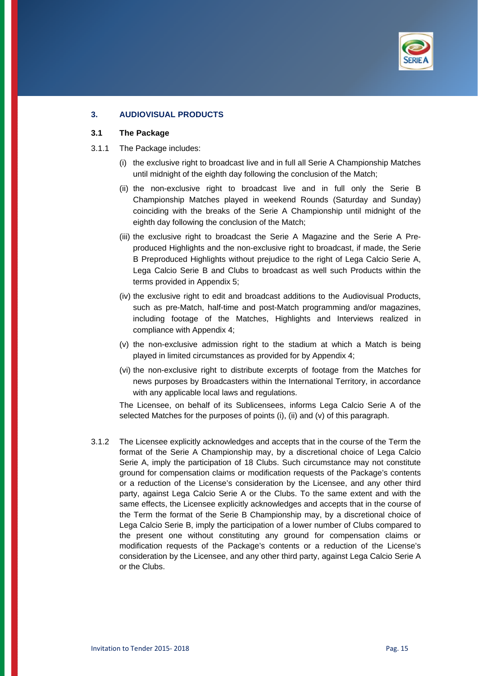

# **3. AUDIOVISUAL PRODUCTS**

#### **3.1 The Package**

- 3.1.1 The Package includes:
	- (i) the exclusive right to broadcast live and in full all Serie A Championship Matches until midnight of the eighth day following the conclusion of the Match;
	- (ii) the non-exclusive right to broadcast live and in full only the Serie B Championship Matches played in weekend Rounds (Saturday and Sunday) coinciding with the breaks of the Serie A Championship until midnight of the eighth day following the conclusion of the Match;
	- (iii) the exclusive right to broadcast the Serie A Magazine and the Serie A Preproduced Highlights and the non-exclusive right to broadcast, if made, the Serie B Preproduced Highlights without prejudice to the right of Lega Calcio Serie A, Lega Calcio Serie B and Clubs to broadcast as well such Products within the terms provided in Appendix 5;
	- (iv) the exclusive right to edit and broadcast additions to the Audiovisual Products, such as pre-Match, half-time and post-Match programming and/or magazines, including footage of the Matches, Highlights and Interviews realized in compliance with Appendix 4;
	- (v) the non-exclusive admission right to the stadium at which a Match is being played in limited circumstances as provided for by Appendix 4;
	- (vi) the non-exclusive right to distribute excerpts of footage from the Matches for news purposes by Broadcasters within the International Territory, in accordance with any applicable local laws and regulations.

The Licensee, on behalf of its Sublicensees, informs Lega Calcio Serie A of the selected Matches for the purposes of points (i), (ii) and (v) of this paragraph.

3.1.2 The Licensee explicitly acknowledges and accepts that in the course of the Term the format of the Serie A Championship may, by a discretional choice of Lega Calcio Serie A, imply the participation of 18 Clubs. Such circumstance may not constitute ground for compensation claims or modification requests of the Package's contents or a reduction of the License's consideration by the Licensee, and any other third party, against Lega Calcio Serie A or the Clubs. To the same extent and with the same effects, the Licensee explicitly acknowledges and accepts that in the course of the Term the format of the Serie B Championship may, by a discretional choice of Lega Calcio Serie B, imply the participation of a lower number of Clubs compared to the present one without constituting any ground for compensation claims or modification requests of the Package's contents or a reduction of the License's consideration by the Licensee, and any other third party, against Lega Calcio Serie A or the Clubs.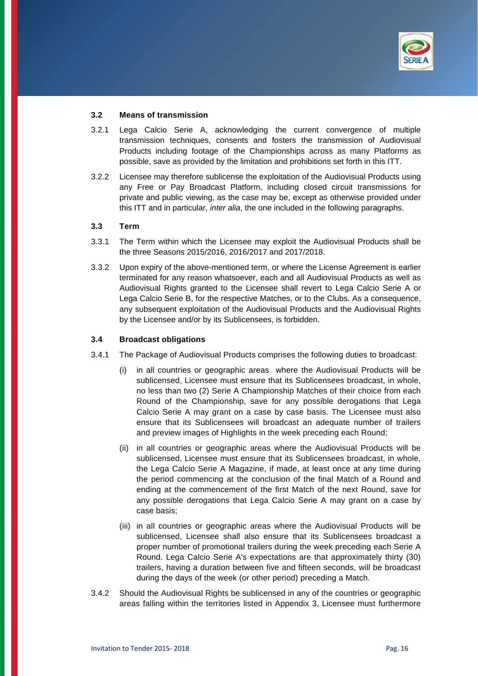

#### **3.2 Means of transmission**

- 3.2.1 Lega Calcio Serie A, acknowledging the current convergence of multiple transmission techniques, consents and fosters the transmission of Audiovisual Products including footage of the Championships across as many Platforms as possible, save as provided by the limitation and prohibitions set forth in this ITT.
- 3.2.2 Licensee may therefore sublicense the exploitation of the Audiovisual Products using any Free or Pay Broadcast Platform, including closed circuit transmissions for private and public viewing, as the case may be, except as otherwise provided under this ITT and in particular, *inter alia*, the one included in the following paragraphs.

#### **3.3 Term**

- 3.3.1 The Term within which the Licensee may exploit the Audiovisual Products shall be the three Seasons 2015/2016, 2016/2017 and 2017/2018.
- 3.3.2 Upon expiry of the above-mentioned term, or where the License Agreement is earlier terminated for any reason whatsoever, each and all Audiovisual Products as well as Audiovisual Rights granted to the Licensee shall revert to Lega Calcio Serie A or Lega Calcio Serie B, for the respective Matches, or to the Clubs. As a consequence, any subsequent exploitation of the Audiovisual Products and the Audiovisual Rights by the Licensee and/or by its Sublicensees, is forbidden.

#### **3.4 Broadcast obligations**

- 3.4.1 The Package of Audiovisual Products comprises the following duties to broadcast:
	- (i) in all countries or geographic areas where the Audiovisual Products will be sublicensed, Licensee must ensure that its Sublicensees broadcast, in whole, no less than two (2) Serie A Championship Matches of their choice from each Round of the Championship, save for any possible derogations that Lega Calcio Serie A may grant on a case by case basis. The Licensee must also ensure that its Sublicensees will broadcast an adequate number of trailers and preview images of Highlights in the week preceding each Round;
	- (ii) in all countries or geographic areas where the Audiovisual Products will be sublicensed, Licensee must ensure that its Sublicensees broadcast, in whole, the Lega Calcio Serie A Magazine, if made, at least once at any time during the period commencing at the conclusion of the final Match of a Round and ending at the commencement of the first Match of the next Round, save for any possible derogations that Lega Calcio Serie A may grant on a case by case basis;
	- (iii) in all countries or geographic areas where the Audiovisual Products will be sublicensed, Licensee shall also ensure that its Sublicensees broadcast a proper number of promotional trailers during the week preceding each Serie A Round. Lega Calcio Serie A's expectations are that approximately thirty (30) trailers, having a duration between five and fifteen seconds, will be broadcast during the days of the week (or other period) preceding a Match.
- 3.4.2 Should the Audiovisual Rights be sublicensed in any of the countries or geographic areas falling within the territories listed in Appendix 3, Licensee must furthermore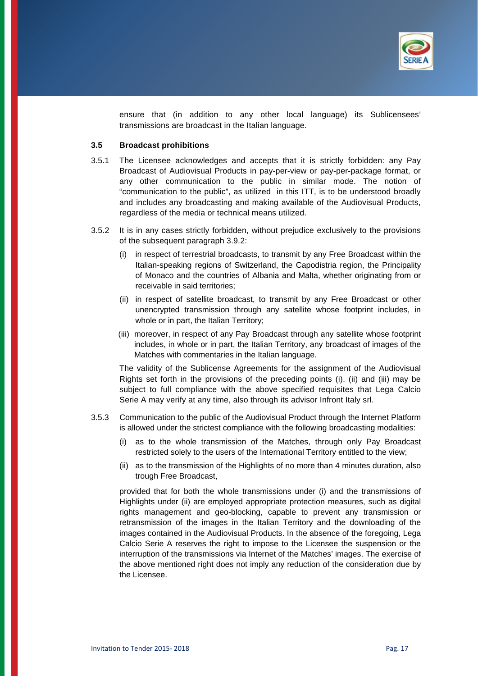

ensure that (in addition to any other local language) its Sublicensees' transmissions are broadcast in the Italian language.

### **3.5 Broadcast prohibitions**

- 3.5.1 The Licensee acknowledges and accepts that it is strictly forbidden: any Pay Broadcast of Audiovisual Products in pay-per-view or pay-per-package format, or any other communication to the public in similar mode. The notion of "communication to the public", as utilized in this ITT, is to be understood broadly and includes any broadcasting and making available of the Audiovisual Products, regardless of the media or technical means utilized.
- 3.5.2 It is in any cases strictly forbidden, without prejudice exclusively to the provisions of the subsequent paragraph 3.9.2:
	- (i) in respect of terrestrial broadcasts, to transmit by any Free Broadcast within the Italian-speaking regions of Switzerland, the Capodistria region, the Principality of Monaco and the countries of Albania and Malta, whether originating from or receivable in said territories;
	- (ii) in respect of satellite broadcast, to transmit by any Free Broadcast or other unencrypted transmission through any satellite whose footprint includes, in whole or in part, the Italian Territory;
	- (iii) moreover, in respect of any Pay Broadcast through any satellite whose footprint includes, in whole or in part, the Italian Territory, any broadcast of images of the Matches with commentaries in the Italian language.

The validity of the Sublicense Agreements for the assignment of the Audiovisual Rights set forth in the provisions of the preceding points (i), (ii) and (iii) may be subject to full compliance with the above specified requisites that Lega Calcio Serie A may verify at any time, also through its advisor Infront Italy srl.

- 3.5.3 Communication to the public of the Audiovisual Product through the Internet Platform is allowed under the strictest compliance with the following broadcasting modalities:
	- (i) as to the whole transmission of the Matches, through only Pay Broadcast restricted solely to the users of the International Territory entitled to the view;
	- (ii) as to the transmission of the Highlights of no more than 4 minutes duration, also trough Free Broadcast,

 provided that for both the whole transmissions under (i) and the transmissions of Highlights under (ii) are employed appropriate protection measures, such as digital rights management and geo-blocking, capable to prevent any transmission or retransmission of the images in the Italian Territory and the downloading of the images contained in the Audiovisual Products. In the absence of the foregoing, Lega Calcio Serie A reserves the right to impose to the Licensee the suspension or the interruption of the transmissions via Internet of the Matches' images. The exercise of the above mentioned right does not imply any reduction of the consideration due by the Licensee.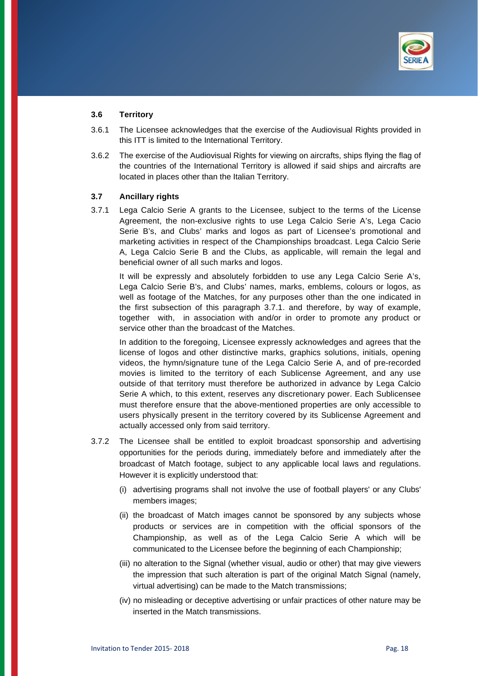

### **3.6 Territory**

- 3.6.1 The Licensee acknowledges that the exercise of the Audiovisual Rights provided in this ITT is limited to the International Territory.
- 3.6.2 The exercise of the Audiovisual Rights for viewing on aircrafts, ships flying the flag of the countries of the International Territory is allowed if said ships and aircrafts are located in places other than the Italian Territory.

#### **3.7 Ancillary rights**

3.7.1 Lega Calcio Serie A grants to the Licensee, subject to the terms of the License Agreement, the non-exclusive rights to use Lega Calcio Serie A's, Lega Cacio Serie B's, and Clubs' marks and logos as part of Licensee's promotional and marketing activities in respect of the Championships broadcast. Lega Calcio Serie A, Lega Calcio Serie B and the Clubs, as applicable, will remain the legal and beneficial owner of all such marks and logos.

 It will be expressly and absolutely forbidden to use any Lega Calcio Serie A's, Lega Calcio Serie B's, and Clubs' names, marks, emblems, colours or logos, as well as footage of the Matches, for any purposes other than the one indicated in the first subsection of this paragraph 3.7.1. and therefore, by way of example, together with, in association with and/or in order to promote any product or service other than the broadcast of the Matches.

 In addition to the foregoing, Licensee expressly acknowledges and agrees that the license of logos and other distinctive marks, graphics solutions, initials, opening videos, the hymn/signature tune of the Lega Calcio Serie A, and of pre-recorded movies is limited to the territory of each Sublicense Agreement, and any use outside of that territory must therefore be authorized in advance by Lega Calcio Serie A which, to this extent, reserves any discretionary power. Each Sublicensee must therefore ensure that the above-mentioned properties are only accessible to users physically present in the territory covered by its Sublicense Agreement and actually accessed only from said territory.

- 3.7.2 The Licensee shall be entitled to exploit broadcast sponsorship and advertising opportunities for the periods during, immediately before and immediately after the broadcast of Match footage, subject to any applicable local laws and regulations. However it is explicitly understood that:
	- (i) advertising programs shall not involve the use of football players' or any Clubs' members images;
	- (ii) the broadcast of Match images cannot be sponsored by any subjects whose products or services are in competition with the official sponsors of the Championship, as well as of the Lega Calcio Serie A which will be communicated to the Licensee before the beginning of each Championship;
	- (iii) no alteration to the Signal (whether visual, audio or other) that may give viewers the impression that such alteration is part of the original Match Signal (namely, virtual advertising) can be made to the Match transmissions;
	- (iv) no misleading or deceptive advertising or unfair practices of other nature may be inserted in the Match transmissions.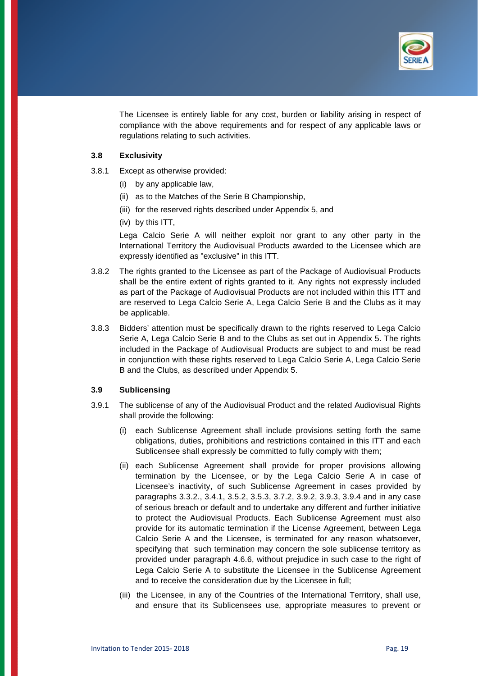

 The Licensee is entirely liable for any cost, burden or liability arising in respect of compliance with the above requirements and for respect of any applicable laws or regulations relating to such activities.

### **3.8 Exclusivity**

- 3.8.1 Except as otherwise provided:
	- (i) by any applicable law,
	- (ii) as to the Matches of the Serie B Championship,
	- (iii) for the reserved rights described under Appendix 5, and
	- (iv) by this ITT,

 Lega Calcio Serie A will neither exploit nor grant to any other party in the International Territory the Audiovisual Products awarded to the Licensee which are expressly identified as "exclusive" in this ITT.

- 3.8.2 The rights granted to the Licensee as part of the Package of Audiovisual Products shall be the entire extent of rights granted to it. Any rights not expressly included as part of the Package of Audiovisual Products are not included within this ITT and are reserved to Lega Calcio Serie A, Lega Calcio Serie B and the Clubs as it may be applicable.
- 3.8.3 Bidders' attention must be specifically drawn to the rights reserved to Lega Calcio Serie A, Lega Calcio Serie B and to the Clubs as set out in Appendix 5. The rights included in the Package of Audiovisual Products are subject to and must be read in conjunction with these rights reserved to Lega Calcio Serie A, Lega Calcio Serie B and the Clubs, as described under Appendix 5.

## **3.9 Sublicensing**

- 3.9.1 The sublicense of any of the Audiovisual Product and the related Audiovisual Rights shall provide the following:
	- (i) each Sublicense Agreement shall include provisions setting forth the same obligations, duties, prohibitions and restrictions contained in this ITT and each Sublicensee shall expressly be committed to fully comply with them;
	- (ii) each Sublicense Agreement shall provide for proper provisions allowing termination by the Licensee, or by the Lega Calcio Serie A in case of Licensee's inactivity, of such Sublicense Agreement in cases provided by paragraphs 3.3.2., 3.4.1, 3.5.2, 3.5.3, 3.7.2, 3.9.2, 3.9.3, 3.9.4 and in any case of serious breach or default and to undertake any different and further initiative to protect the Audiovisual Products. Each Sublicense Agreement must also provide for its automatic termination if the License Agreement, between Lega Calcio Serie A and the Licensee, is terminated for any reason whatsoever, specifying that such termination may concern the sole sublicense territory as provided under paragraph 4.6.6, without prejudice in such case to the right of Lega Calcio Serie A to substitute the Licensee in the Sublicense Agreement and to receive the consideration due by the Licensee in full;
	- (iii) the Licensee, in any of the Countries of the International Territory, shall use, and ensure that its Sublicensees use, appropriate measures to prevent or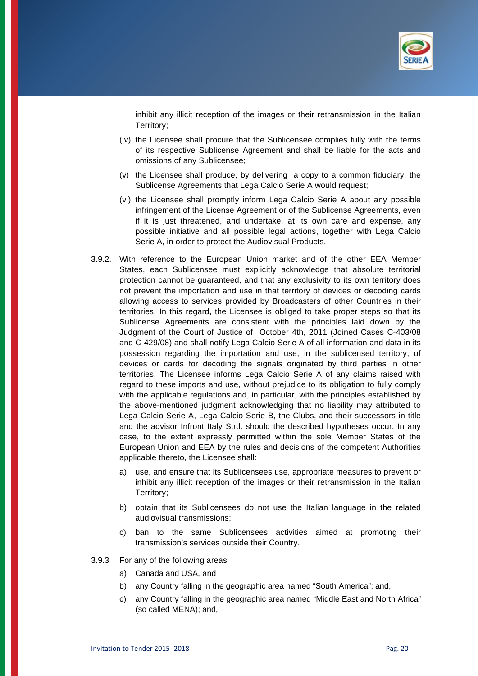

inhibit any illicit reception of the images or their retransmission in the Italian Territory;

- (iv) the Licensee shall procure that the Sublicensee complies fully with the terms of its respective Sublicense Agreement and shall be liable for the acts and omissions of any Sublicensee;
- (v) the Licensee shall produce, by delivering a copy to a common fiduciary, the Sublicense Agreements that Lega Calcio Serie A would request;
- (vi) the Licensee shall promptly inform Lega Calcio Serie A about any possible infringement of the License Agreement or of the Sublicense Agreements, even if it is just threatened, and undertake, at its own care and expense, any possible initiative and all possible legal actions, together with Lega Calcio Serie A, in order to protect the Audiovisual Products.
- 3.9.2. With reference to the European Union market and of the other EEA Member States, each Sublicensee must explicitly acknowledge that absolute territorial protection cannot be guaranteed, and that any exclusivity to its own territory does not prevent the importation and use in that territory of devices or decoding cards allowing access to services provided by Broadcasters of other Countries in their territories. In this regard, the Licensee is obliged to take proper steps so that its Sublicense Agreements are consistent with the principles laid down by the Judgment of the Court of Justice of October 4th, 2011 (Joined Cases C-403/08 and C-429/08) and shall notify Lega Calcio Serie A of all information and data in its possession regarding the importation and use, in the sublicensed territory, of devices or cards for decoding the signals originated by third parties in other territories. The Licensee informs Lega Calcio Serie A of any claims raised with regard to these imports and use, without prejudice to its obligation to fully comply with the applicable regulations and, in particular, with the principles established by the above-mentioned judgment acknowledging that no liability may attributed to Lega Calcio Serie A, Lega Calcio Serie B, the Clubs, and their successors in title and the advisor Infront Italy S.r.l. should the described hypotheses occur. In any case, to the extent expressly permitted within the sole Member States of the European Union and EEA by the rules and decisions of the competent Authorities applicable thereto, the Licensee shall:
	- a) use, and ensure that its Sublicensees use, appropriate measures to prevent or inhibit any illicit reception of the images or their retransmission in the Italian Territory;
	- b) obtain that its Sublicensees do not use the Italian language in the related audiovisual transmissions;
	- c) ban to the same Sublicensees activities aimed at promoting their transmission's services outside their Country.
- 3.9.3 For any of the following areas
	- a) Canada and USA, and
	- b) any Country falling in the geographic area named "South America"; and,
	- c) any Country falling in the geographic area named "Middle East and North Africa" (so called MENA); and,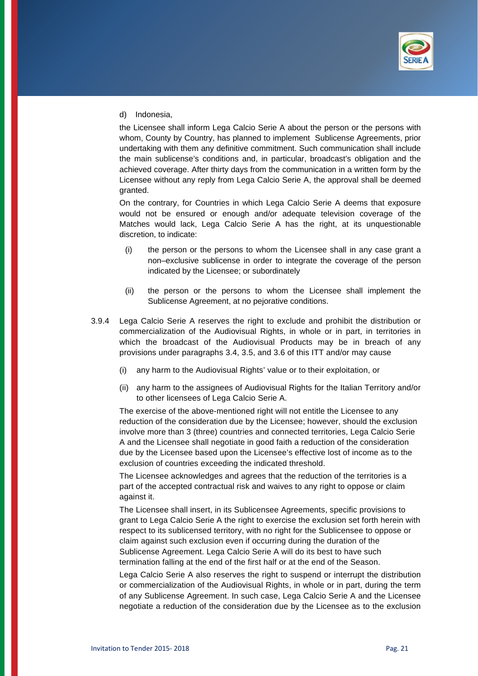

d) Indonesia,

the Licensee shall inform Lega Calcio Serie A about the person or the persons with whom, County by Country, has planned to implement Sublicense Agreements, prior undertaking with them any definitive commitment. Such communication shall include the main sublicense's conditions and, in particular, broadcast's obligation and the achieved coverage. After thirty days from the communication in a written form by the Licensee without any reply from Lega Calcio Serie A, the approval shall be deemed granted.

On the contrary, for Countries in which Lega Calcio Serie A deems that exposure would not be ensured or enough and/or adequate television coverage of the Matches would lack, Lega Calcio Serie A has the right, at its unquestionable discretion, to indicate:

- (i) the person or the persons to whom the Licensee shall in any case grant a non–exclusive sublicense in order to integrate the coverage of the person indicated by the Licensee; or subordinately
- (ii) the person or the persons to whom the Licensee shall implement the Sublicense Agreement, at no pejorative conditions.
- 3.9.4 Lega Calcio Serie A reserves the right to exclude and prohibit the distribution or commercialization of the Audiovisual Rights, in whole or in part, in territories in which the broadcast of the Audiovisual Products may be in breach of any provisions under paragraphs 3.4, 3.5, and 3.6 of this ITT and/or may cause
	- (i) any harm to the Audiovisual Rights' value or to their exploitation, or
	- (ii) any harm to the assignees of Audiovisual Rights for the Italian Territory and/or to other licensees of Lega Calcio Serie A.

 The exercise of the above-mentioned right will not entitle the Licensee to any reduction of the consideration due by the Licensee; however, should the exclusion involve more than 3 (three) countries and connected territories, Lega Calcio Serie A and the Licensee shall negotiate in good faith a reduction of the consideration due by the Licensee based upon the Licensee's effective lost of income as to the exclusion of countries exceeding the indicated threshold.

 The Licensee acknowledges and agrees that the reduction of the territories is a part of the accepted contractual risk and waives to any right to oppose or claim against it.

 The Licensee shall insert, in its Sublicensee Agreements, specific provisions to grant to Lega Calcio Serie A the right to exercise the exclusion set forth herein with respect to its sublicensed territory, with no right for the Sublicensee to oppose or claim against such exclusion even if occurring during the duration of the Sublicense Agreement. Lega Calcio Serie A will do its best to have such termination falling at the end of the first half or at the end of the Season.

 Lega Calcio Serie A also reserves the right to suspend or interrupt the distribution or commercialization of the Audiovisual Rights, in whole or in part, during the term of any Sublicense Agreement. In such case, Lega Calcio Serie A and the Licensee negotiate a reduction of the consideration due by the Licensee as to the exclusion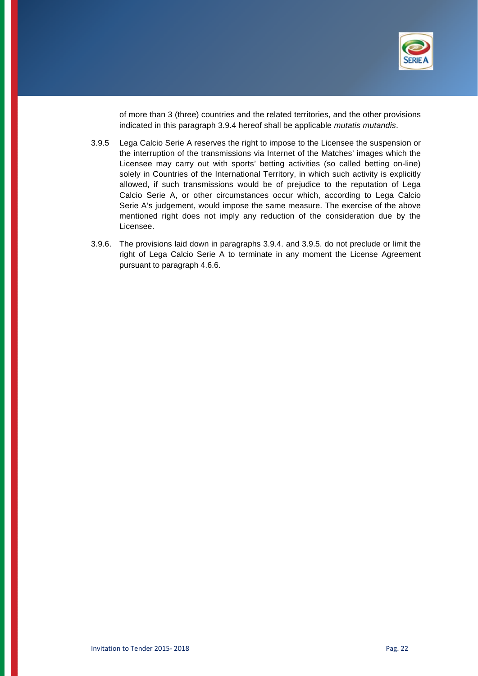

of more than 3 (three) countries and the related territories, and the other provisions indicated in this paragraph 3.9.4 hereof shall be applicable *mutatis mutandis*.

- 3.9.5 Lega Calcio Serie A reserves the right to impose to the Licensee the suspension or the interruption of the transmissions via Internet of the Matches' images which the Licensee may carry out with sports' betting activities (so called betting on-line) solely in Countries of the International Territory, in which such activity is explicitly allowed, if such transmissions would be of prejudice to the reputation of Lega Calcio Serie A, or other circumstances occur which, according to Lega Calcio Serie A's judgement, would impose the same measure. The exercise of the above mentioned right does not imply any reduction of the consideration due by the Licensee.
- 3.9.6. The provisions laid down in paragraphs 3.9.4. and 3.9.5. do not preclude or limit the right of Lega Calcio Serie A to terminate in any moment the License Agreement pursuant to paragraph 4.6.6.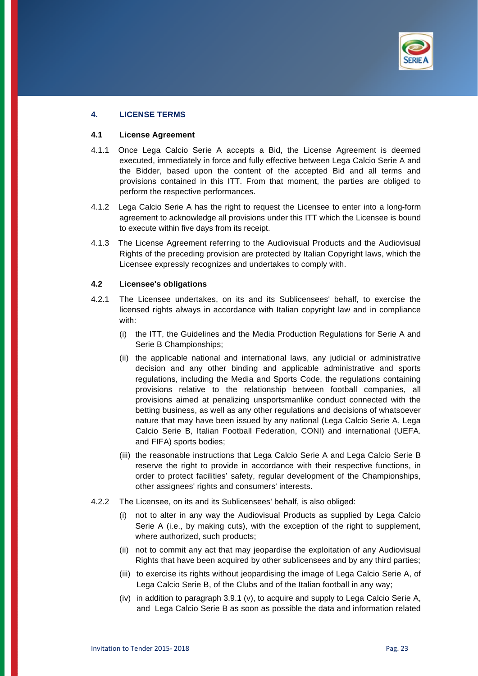

# **4. LICENSE TERMS**

#### **4.1 License Agreement**

- 4.1.1 Once Lega Calcio Serie A accepts a Bid, the License Agreement is deemed executed, immediately in force and fully effective between Lega Calcio Serie A and the Bidder, based upon the content of the accepted Bid and all terms and provisions contained in this ITT. From that moment, the parties are obliged to perform the respective performances.
- 4.1.2 Lega Calcio Serie A has the right to request the Licensee to enter into a long-form agreement to acknowledge all provisions under this ITT which the Licensee is bound to execute within five days from its receipt.
- 4.1.3 The License Agreement referring to the Audiovisual Products and the Audiovisual Rights of the preceding provision are protected by Italian Copyright laws, which the Licensee expressly recognizes and undertakes to comply with.

#### **4.2 Licensee's obligations**

- 4.2.1 The Licensee undertakes, on its and its Sublicensees' behalf, to exercise the licensed rights always in accordance with Italian copyright law and in compliance with:
	- (i) the ITT, the Guidelines and the Media Production Regulations for Serie A and Serie B Championships;
	- (ii) the applicable national and international laws, any judicial or administrative decision and any other binding and applicable administrative and sports regulations, including the Media and Sports Code, the regulations containing provisions relative to the relationship between football companies, all provisions aimed at penalizing unsportsmanlike conduct connected with the betting business, as well as any other regulations and decisions of whatsoever nature that may have been issued by any national (Lega Calcio Serie A, Lega Calcio Serie B, Italian Football Federation, CONI) and international (UEFA. and FIFA) sports bodies;
	- (iii) the reasonable instructions that Lega Calcio Serie A and Lega Calcio Serie B reserve the right to provide in accordance with their respective functions, in order to protect facilities' safety, regular development of the Championships, other assignees' rights and consumers' interests.
- 4.2.2 The Licensee, on its and its Sublicensees' behalf, is also obliged:
	- not to alter in any way the Audiovisual Products as supplied by Lega Calcio Serie A (i.e., by making cuts), with the exception of the right to supplement, where authorized, such products;
	- (ii) not to commit any act that may jeopardise the exploitation of any Audiovisual Rights that have been acquired by other sublicensees and by any third parties;
	- (iii) to exercise its rights without jeopardising the image of Lega Calcio Serie A, of Lega Calcio Serie B, of the Clubs and of the Italian football in any way;
	- (iv) in addition to paragraph 3.9.1 (v), to acquire and supply to Lega Calcio Serie A, and Lega Calcio Serie B as soon as possible the data and information related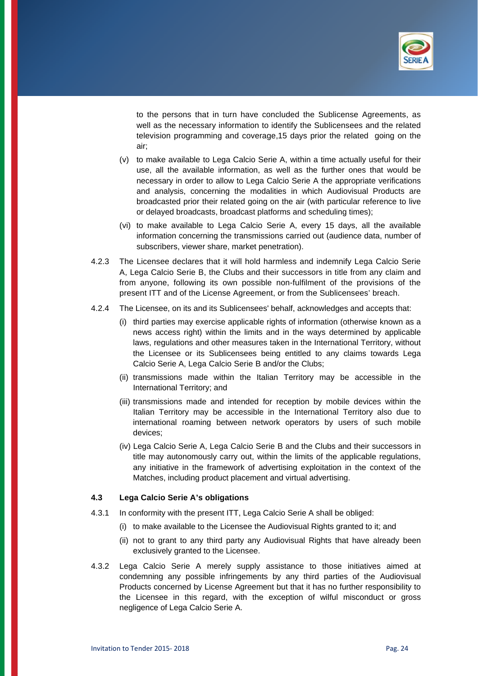

to the persons that in turn have concluded the Sublicense Agreements, as well as the necessary information to identify the Sublicensees and the related television programming and coverage,15 days prior the related going on the air;

- (v) to make available to Lega Calcio Serie A, within a time actually useful for their use, all the available information, as well as the further ones that would be necessary in order to allow to Lega Calcio Serie A the appropriate verifications and analysis, concerning the modalities in which Audiovisual Products are broadcasted prior their related going on the air (with particular reference to live or delayed broadcasts, broadcast platforms and scheduling times);
- (vi) to make available to Lega Calcio Serie A, every 15 days, all the available information concerning the transmissions carried out (audience data, number of subscribers, viewer share, market penetration).
- 4.2.3 The Licensee declares that it will hold harmless and indemnify Lega Calcio Serie A, Lega Calcio Serie B, the Clubs and their successors in title from any claim and from anyone, following its own possible non-fulfilment of the provisions of the present ITT and of the License Agreement, or from the Sublicensees' breach.
- 4.2.4 The Licensee, on its and its Sublicensees' behalf, acknowledges and accepts that:
	- (i) third parties may exercise applicable rights of information (otherwise known as a news access right) within the limits and in the ways determined by applicable laws, regulations and other measures taken in the International Territory, without the Licensee or its Sublicensees being entitled to any claims towards Lega Calcio Serie A, Lega Calcio Serie B and/or the Clubs;
	- (ii) transmissions made within the Italian Territory may be accessible in the International Territory; and
	- (iii) transmissions made and intended for reception by mobile devices within the Italian Territory may be accessible in the International Territory also due to international roaming between network operators by users of such mobile devices;
	- (iv) Lega Calcio Serie A, Lega Calcio Serie B and the Clubs and their successors in title may autonomously carry out, within the limits of the applicable regulations, any initiative in the framework of advertising exploitation in the context of the Matches, including product placement and virtual advertising.

#### **4.3 Lega Calcio Serie A's obligations**

- 4.3.1 In conformity with the present ITT, Lega Calcio Serie A shall be obliged:
	- (i) to make available to the Licensee the Audiovisual Rights granted to it; and
	- (ii) not to grant to any third party any Audiovisual Rights that have already been exclusively granted to the Licensee.
- 4.3.2 Lega Calcio Serie A merely supply assistance to those initiatives aimed at condemning any possible infringements by any third parties of the Audiovisual Products concerned by License Agreement but that it has no further responsibility to the Licensee in this regard, with the exception of wilful misconduct or gross negligence of Lega Calcio Serie A.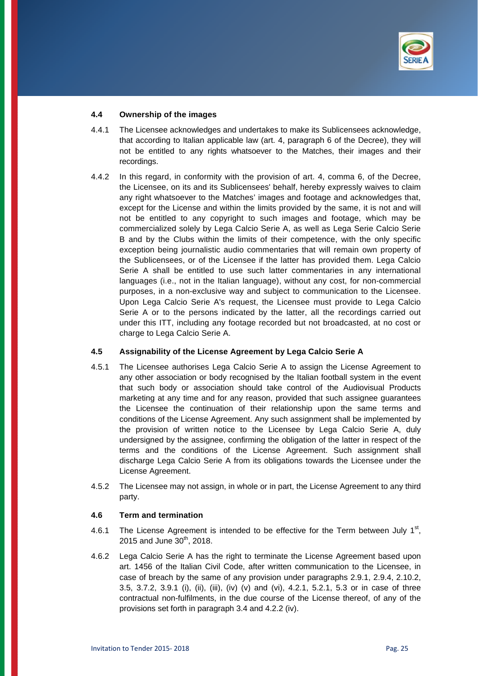

### **4.4 Ownership of the images**

- 4.4.1 The Licensee acknowledges and undertakes to make its Sublicensees acknowledge, that according to Italian applicable law (art. 4, paragraph 6 of the Decree), they will not be entitled to any rights whatsoever to the Matches, their images and their recordings.
- 4.4.2 In this regard, in conformity with the provision of art. 4, comma 6, of the Decree, the Licensee, on its and its Sublicensees' behalf, hereby expressly waives to claim any right whatsoever to the Matches' images and footage and acknowledges that, except for the License and within the limits provided by the same, it is not and will not be entitled to any copyright to such images and footage, which may be commercialized solely by Lega Calcio Serie A, as well as Lega Serie Calcio Serie B and by the Clubs within the limits of their competence, with the only specific exception being journalistic audio commentaries that will remain own property of the Sublicensees, or of the Licensee if the latter has provided them. Lega Calcio Serie A shall be entitled to use such latter commentaries in any international languages (i.e., not in the Italian language), without any cost, for non-commercial purposes, in a non-exclusive way and subject to communication to the Licensee. Upon Lega Calcio Serie A's request, the Licensee must provide to Lega Calcio Serie A or to the persons indicated by the latter, all the recordings carried out under this ITT, including any footage recorded but not broadcasted, at no cost or charge to Lega Calcio Serie A.

## **4.5 Assignability of the License Agreement by Lega Calcio Serie A**

- 4.5.1 The Licensee authorises Lega Calcio Serie A to assign the License Agreement to any other association or body recognised by the Italian football system in the event that such body or association should take control of the Audiovisual Products marketing at any time and for any reason, provided that such assignee guarantees the Licensee the continuation of their relationship upon the same terms and conditions of the License Agreement. Any such assignment shall be implemented by the provision of written notice to the Licensee by Lega Calcio Serie A, duly undersigned by the assignee, confirming the obligation of the latter in respect of the terms and the conditions of the License Agreement. Such assignment shall discharge Lega Calcio Serie A from its obligations towards the Licensee under the License Agreement.
- 4.5.2 The Licensee may not assign, in whole or in part, the License Agreement to any third party.

## **4.6 Term and termination**

- 4.6.1 The License Agreement is intended to be effective for the Term between July  $1<sup>st</sup>$ , 2015 and June  $30^{th}$ , 2018.
- 4.6.2 Lega Calcio Serie A has the right to terminate the License Agreement based upon art. 1456 of the Italian Civil Code, after written communication to the Licensee, in case of breach by the same of any provision under paragraphs 2.9.1, 2.9.4, 2.10.2, 3.5, 3.7.2, 3.9.1 (i), (ii), (iii), (iv) (v) and (vi), 4.2.1, 5.2.1, 5.3 or in case of three contractual non-fulfilments, in the due course of the License thereof, of any of the provisions set forth in paragraph 3.4 and 4.2.2 (iv).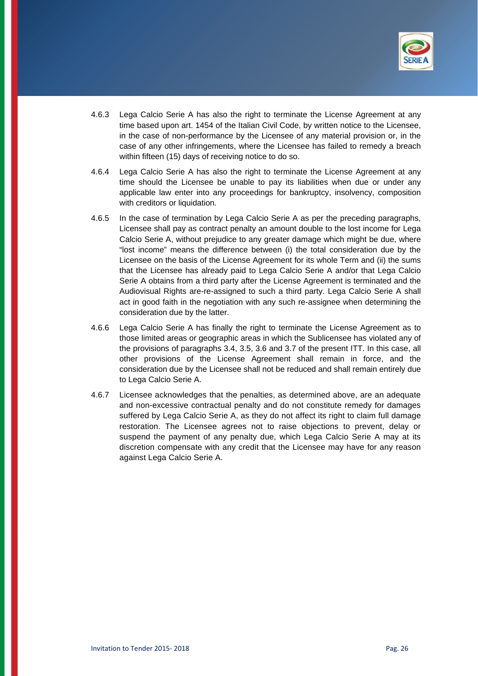

- 4.6.3 Lega Calcio Serie A has also the right to terminate the License Agreement at any time based upon art. 1454 of the Italian Civil Code, by written notice to the Licensee, in the case of non-performance by the Licensee of any material provision or, in the case of any other infringements, where the Licensee has failed to remedy a breach within fifteen (15) days of receiving notice to do so.
- 4.6.4 Lega Calcio Serie A has also the right to terminate the License Agreement at any time should the Licensee be unable to pay its liabilities when due or under any applicable law enter into any proceedings for bankruptcy, insolvency, composition with creditors or liquidation.
- 4.6.5 In the case of termination by Lega Calcio Serie A as per the preceding paragraphs, Licensee shall pay as contract penalty an amount double to the lost income for Lega Calcio Serie A, without prejudice to any greater damage which might be due, where "lost income" means the difference between (i) the total consideration due by the Licensee on the basis of the License Agreement for its whole Term and (ii) the sums that the Licensee has already paid to Lega Calcio Serie A and/or that Lega Calcio Serie A obtains from a third party after the License Agreement is terminated and the Audiovisual Rights are-re-assigned to such a third party. Lega Calcio Serie A shall act in good faith in the negotiation with any such re-assignee when determining the consideration due by the latter.
- 4.6.6 Lega Calcio Serie A has finally the right to terminate the License Agreement as to those limited areas or geographic areas in which the Sublicensee has violated any of the provisions of paragraphs 3.4, 3.5, 3.6 and 3.7 of the present ITT. In this case, all other provisions of the License Agreement shall remain in force, and the consideration due by the Licensee shall not be reduced and shall remain entirely due to Lega Calcio Serie A.
- 4.6.7 Licensee acknowledges that the penalties, as determined above, are an adequate and non-excessive contractual penalty and do not constitute remedy for damages suffered by Lega Calcio Serie A, as they do not affect its right to claim full damage restoration. The Licensee agrees not to raise objections to prevent, delay or suspend the payment of any penalty due, which Lega Calcio Serie A may at its discretion compensate with any credit that the Licensee may have for any reason against Lega Calcio Serie A.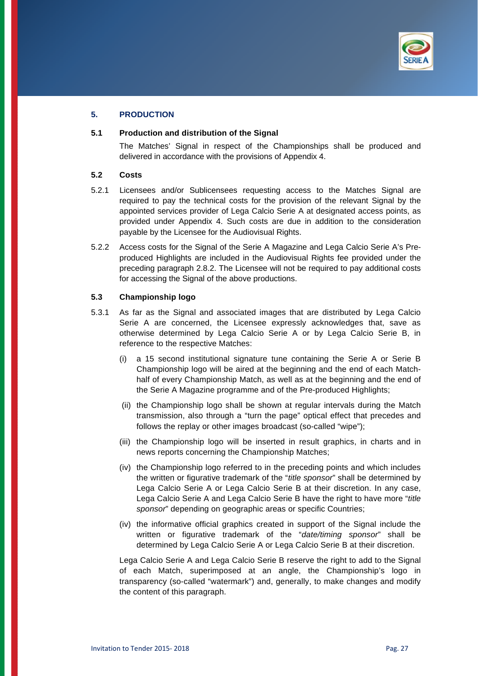

# **5. PRODUCTION**

### **5.1 Production and distribution of the Signal**

 The Matches' Signal in respect of the Championships shall be produced and delivered in accordance with the provisions of Appendix 4.

### **5.2 Costs**

- 5.2.1 Licensees and/or Sublicensees requesting access to the Matches Signal are required to pay the technical costs for the provision of the relevant Signal by the appointed services provider of Lega Calcio Serie A at designated access points, as provided under Appendix 4. Such costs are due in addition to the consideration payable by the Licensee for the Audiovisual Rights.
- 5.2.2 Access costs for the Signal of the Serie A Magazine and Lega Calcio Serie A's Preproduced Highlights are included in the Audiovisual Rights fee provided under the preceding paragraph 2.8.2. The Licensee will not be required to pay additional costs for accessing the Signal of the above productions.

# **5.3 Championship logo**

- 5.3.1 As far as the Signal and associated images that are distributed by Lega Calcio Serie A are concerned, the Licensee expressly acknowledges that, save as otherwise determined by Lega Calcio Serie A or by Lega Calcio Serie B, in reference to the respective Matches:
	- (i) a 15 second institutional signature tune containing the Serie A or Serie B Championship logo will be aired at the beginning and the end of each Matchhalf of every Championship Match, as well as at the beginning and the end of the Serie A Magazine programme and of the Pre-produced Highlights;
	- (ii) the Championship logo shall be shown at regular intervals during the Match transmission, also through a "turn the page" optical effect that precedes and follows the replay or other images broadcast (so-called "wipe");
	- (iii) the Championship logo will be inserted in result graphics, in charts and in news reports concerning the Championship Matches;
	- (iv) the Championship logo referred to in the preceding points and which includes the written or figurative trademark of the "*title sponsor*" shall be determined by Lega Calcio Serie A or Lega Calcio Serie B at their discretion. In any case, Lega Calcio Serie A and Lega Calcio Serie B have the right to have more "*title sponsor*" depending on geographic areas or specific Countries;
	- (iv) the informative official graphics created in support of the Signal include the written or figurative trademark of the "*date/timing sponsor*" shall be determined by Lega Calcio Serie A or Lega Calcio Serie B at their discretion.

 Lega Calcio Serie A and Lega Calcio Serie B reserve the right to add to the Signal of each Match, superimposed at an angle, the Championship's logo in transparency (so-called "watermark") and, generally, to make changes and modify the content of this paragraph.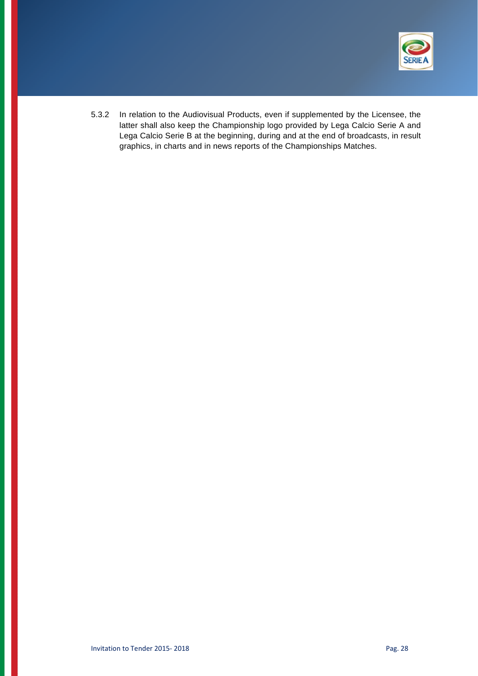

5.3.2 In relation to the Audiovisual Products, even if supplemented by the Licensee, the latter shall also keep the Championship logo provided by Lega Calcio Serie A and Lega Calcio Serie B at the beginning, during and at the end of broadcasts, in result graphics, in charts and in news reports of the Championships Matches.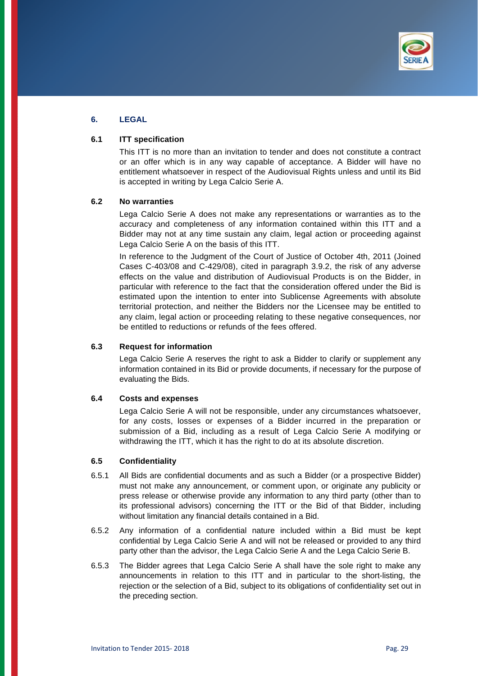

# **6. LEGAL**

### **6.1 ITT specification**

This ITT is no more than an invitation to tender and does not constitute a contract or an offer which is in any way capable of acceptance. A Bidder will have no entitlement whatsoever in respect of the Audiovisual Rights unless and until its Bid is accepted in writing by Lega Calcio Serie A.

#### **6.2 No warranties**

Lega Calcio Serie A does not make any representations or warranties as to the accuracy and completeness of any information contained within this ITT and a Bidder may not at any time sustain any claim, legal action or proceeding against Lega Calcio Serie A on the basis of this ITT.

In reference to the Judgment of the Court of Justice of October 4th, 2011 (Joined Cases C-403/08 and C-429/08), cited in paragraph 3.9.2, the risk of any adverse effects on the value and distribution of Audiovisual Products is on the Bidder, in particular with reference to the fact that the consideration offered under the Bid is estimated upon the intention to enter into Sublicense Agreements with absolute territorial protection, and neither the Bidders nor the Licensee may be entitled to any claim, legal action or proceeding relating to these negative consequences, nor be entitled to reductions or refunds of the fees offered.

## **6.3 Request for information**

Lega Calcio Serie A reserves the right to ask a Bidder to clarify or supplement any information contained in its Bid or provide documents, if necessary for the purpose of evaluating the Bids.

#### **6.4 Costs and expenses**

Lega Calcio Serie A will not be responsible, under any circumstances whatsoever, for any costs, losses or expenses of a Bidder incurred in the preparation or submission of a Bid, including as a result of Lega Calcio Serie A modifying or withdrawing the ITT, which it has the right to do at its absolute discretion.

### **6.5 Confidentiality**

- 6.5.1 All Bids are confidential documents and as such a Bidder (or a prospective Bidder) must not make any announcement, or comment upon, or originate any publicity or press release or otherwise provide any information to any third party (other than to its professional advisors) concerning the ITT or the Bid of that Bidder, including without limitation any financial details contained in a Bid.
- 6.5.2 Any information of a confidential nature included within a Bid must be kept confidential by Lega Calcio Serie A and will not be released or provided to any third party other than the advisor, the Lega Calcio Serie A and the Lega Calcio Serie B.
- 6.5.3 The Bidder agrees that Lega Calcio Serie A shall have the sole right to make any announcements in relation to this ITT and in particular to the short-listing, the rejection or the selection of a Bid, subject to its obligations of confidentiality set out in the preceding section.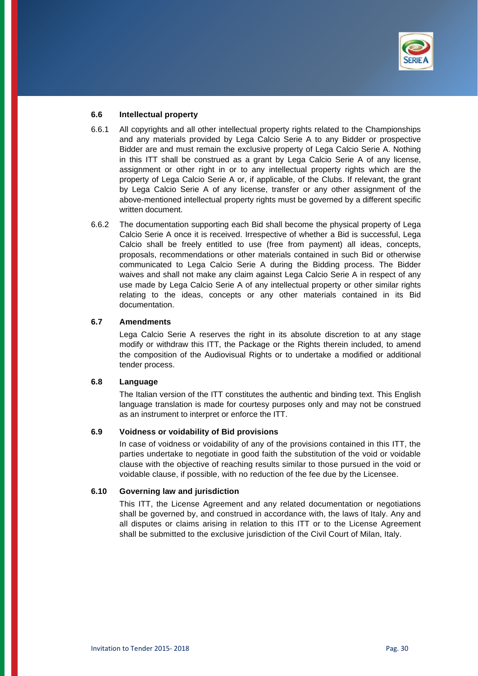

#### **6.6 Intellectual property**

- 6.6.1 All copyrights and all other intellectual property rights related to the Championships and any materials provided by Lega Calcio Serie A to any Bidder or prospective Bidder are and must remain the exclusive property of Lega Calcio Serie A. Nothing in this ITT shall be construed as a grant by Lega Calcio Serie A of any license, assignment or other right in or to any intellectual property rights which are the property of Lega Calcio Serie A or, if applicable, of the Clubs. If relevant, the grant by Lega Calcio Serie A of any license, transfer or any other assignment of the above-mentioned intellectual property rights must be governed by a different specific written document.
- 6.6.2 The documentation supporting each Bid shall become the physical property of Lega Calcio Serie A once it is received. Irrespective of whether a Bid is successful, Lega Calcio shall be freely entitled to use (free from payment) all ideas, concepts, proposals, recommendations or other materials contained in such Bid or otherwise communicated to Lega Calcio Serie A during the Bidding process. The Bidder waives and shall not make any claim against Lega Calcio Serie A in respect of any use made by Lega Calcio Serie A of any intellectual property or other similar rights relating to the ideas, concepts or any other materials contained in its Bid documentation.

#### **6.7 Amendments**

Lega Calcio Serie A reserves the right in its absolute discretion to at any stage modify or withdraw this ITT, the Package or the Rights therein included, to amend the composition of the Audiovisual Rights or to undertake a modified or additional tender process.

### **6.8 Language**

The Italian version of the ITT constitutes the authentic and binding text. This English language translation is made for courtesy purposes only and may not be construed as an instrument to interpret or enforce the ITT.

#### **6.9 Voidness or voidability of Bid provisions**

In case of voidness or voidability of any of the provisions contained in this ITT, the parties undertake to negotiate in good faith the substitution of the void or voidable clause with the objective of reaching results similar to those pursued in the void or voidable clause, if possible, with no reduction of the fee due by the Licensee.

## **6.10 Governing law and jurisdiction**

This ITT, the License Agreement and any related documentation or negotiations shall be governed by, and construed in accordance with, the laws of Italy. Any and all disputes or claims arising in relation to this ITT or to the License Agreement shall be submitted to the exclusive jurisdiction of the Civil Court of Milan, Italy.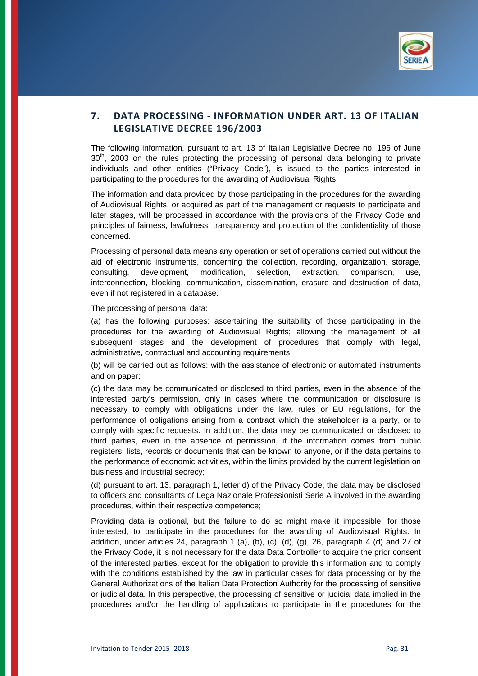

# **7. DATA PROCESSING ‐ INFORMATION UNDER ART. 13 OF ITALIAN LEGISLATIVE DECREE 196/2003**

The following information, pursuant to art. 13 of Italian Legislative Decree no. 196 of June 30<sup>th</sup>, 2003 on the rules protecting the processing of personal data belonging to private individuals and other entities ("Privacy Code"), is issued to the parties interested in participating to the procedures for the awarding of Audiovisual Rights

The information and data provided by those participating in the procedures for the awarding of Audiovisual Rights, or acquired as part of the management or requests to participate and later stages, will be processed in accordance with the provisions of the Privacy Code and principles of fairness, lawfulness, transparency and protection of the confidentiality of those concerned.

Processing of personal data means any operation or set of operations carried out without the aid of electronic instruments, concerning the collection, recording, organization, storage, consulting, development, modification, selection, extraction, comparison, use, interconnection, blocking, communication, dissemination, erasure and destruction of data, even if not registered in a database.

The processing of personal data:

(a) has the following purposes: ascertaining the suitability of those participating in the procedures for the awarding of Audiovisual Rights; allowing the management of all subsequent stages and the development of procedures that comply with legal, administrative, contractual and accounting requirements;

(b) will be carried out as follows: with the assistance of electronic or automated instruments and on paper;

(c) the data may be communicated or disclosed to third parties, even in the absence of the interested party's permission, only in cases where the communication or disclosure is necessary to comply with obligations under the law, rules or EU regulations, for the performance of obligations arising from a contract which the stakeholder is a party, or to comply with specific requests. In addition, the data may be communicated or disclosed to third parties, even in the absence of permission, if the information comes from public registers, lists, records or documents that can be known to anyone, or if the data pertains to the performance of economic activities, within the limits provided by the current legislation on business and industrial secrecy;

(d) pursuant to art. 13, paragraph 1, letter d) of the Privacy Code, the data may be disclosed to officers and consultants of Lega Nazionale Professionisti Serie A involved in the awarding procedures, within their respective competence;

Providing data is optional, but the failure to do so might make it impossible, for those interested, to participate in the procedures for the awarding of Audiovisual Rights. In addition, under articles 24, paragraph 1 (a), (b), (c), (d), (g), 26, paragraph 4 (d) and 27 of the Privacy Code, it is not necessary for the data Data Controller to acquire the prior consent of the interested parties, except for the obligation to provide this information and to comply with the conditions established by the law in particular cases for data processing or by the General Authorizations of the Italian Data Protection Authority for the processing of sensitive or judicial data. In this perspective, the processing of sensitive or judicial data implied in the procedures and/or the handling of applications to participate in the procedures for the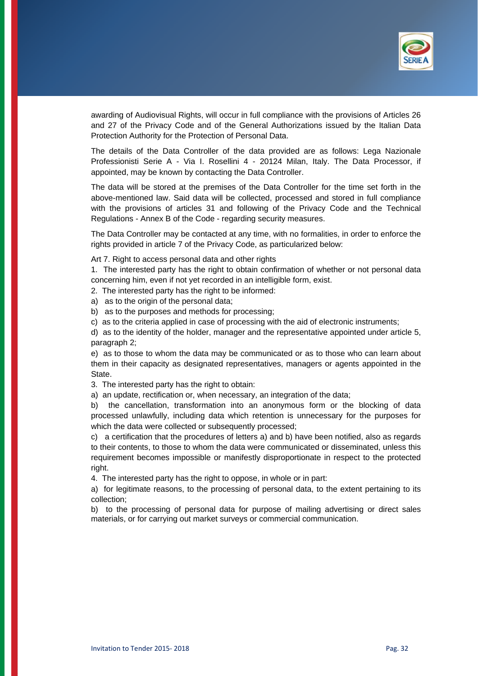

awarding of Audiovisual Rights, will occur in full compliance with the provisions of Articles 26 and 27 of the Privacy Code and of the General Authorizations issued by the Italian Data Protection Authority for the Protection of Personal Data.

The details of the Data Controller of the data provided are as follows: Lega Nazionale Professionisti Serie A - Via I. Rosellini 4 - 20124 Milan, Italy. The Data Processor, if appointed, may be known by contacting the Data Controller.

The data will be stored at the premises of the Data Controller for the time set forth in the above-mentioned law. Said data will be collected, processed and stored in full compliance with the provisions of articles 31 and following of the Privacy Code and the Technical Regulations - Annex B of the Code - regarding security measures.

The Data Controller may be contacted at any time, with no formalities, in order to enforce the rights provided in article 7 of the Privacy Code, as particularized below:

Art 7. Right to access personal data and other rights

1. The interested party has the right to obtain confirmation of whether or not personal data concerning him, even if not yet recorded in an intelligible form, exist.

2. The interested party has the right to be informed:

a) as to the origin of the personal data;

b) as to the purposes and methods for processing;

c) as to the criteria applied in case of processing with the aid of electronic instruments;

d) as to the identity of the holder, manager and the representative appointed under article 5, paragraph 2;

e) as to those to whom the data may be communicated or as to those who can learn about them in their capacity as designated representatives, managers or agents appointed in the **State.** 

3. The interested party has the right to obtain:

a) an update, rectification or, when necessary, an integration of the data;

b) the cancellation, transformation into an anonymous form or the blocking of data processed unlawfully, including data which retention is unnecessary for the purposes for which the data were collected or subsequently processed;

c) a certification that the procedures of letters a) and b) have been notified, also as regards to their contents, to those to whom the data were communicated or disseminated, unless this requirement becomes impossible or manifestly disproportionate in respect to the protected right.

4. The interested party has the right to oppose, in whole or in part:

a) for legitimate reasons, to the processing of personal data, to the extent pertaining to its collection;

b) to the processing of personal data for purpose of mailing advertising or direct sales materials, or for carrying out market surveys or commercial communication.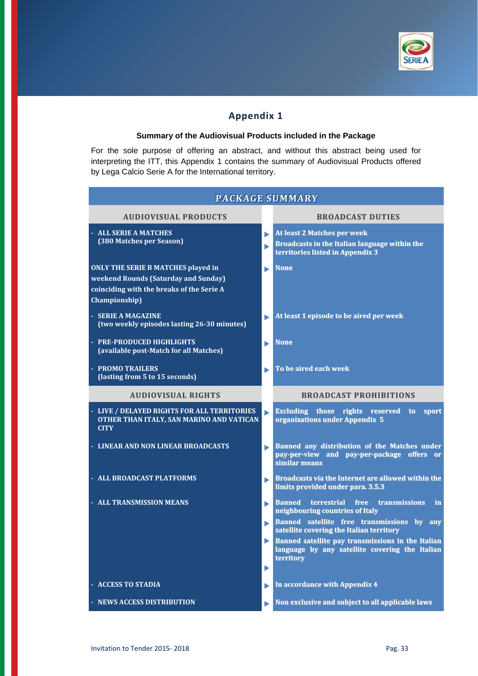

# **Appendix 1**

#### **Summary of the Audiovisual Products included in the Package**

For the sole purpose of offering an abstract, and without this abstract being used for interpreting the ITT, this Appendix 1 contains the summary of Audiovisual Products offered by Lega Calcio Serie A for the International territory.

| <b>PACKAGE SUMMARY</b>                                                                                                                          |        |                                                                                                                                |  |  |  |  |  |
|-------------------------------------------------------------------------------------------------------------------------------------------------|--------|--------------------------------------------------------------------------------------------------------------------------------|--|--|--|--|--|
| <b>AUDIOVISUAL PRODUCTS</b>                                                                                                                     |        | <b>BROADCAST DUTIES</b>                                                                                                        |  |  |  |  |  |
| - ALL SERIE A MATCHES<br>(380 Matches per Season)                                                                                               | ь<br>▶ | <b>At least 2 Matches per week</b><br><b>Broadcasts in the Italian language within the</b><br>territories listed in Appendix 3 |  |  |  |  |  |
| <b>ONLY THE SERIE B MATCHES played in</b><br>weekend Rounds (Saturday and Sunday)<br>coinciding with the breaks of the Serie A<br>Championship) | ь      | <b>None</b>                                                                                                                    |  |  |  |  |  |
| - SERIE A MAGAZINE<br>(two weekly episodes lasting 26-30 minutes)                                                                               |        | At least 1 episode to be aired per week                                                                                        |  |  |  |  |  |
| - PRE-PRODUCED HIGHLIGHTS<br>(available post-Match for all Matches)                                                                             | ь      | <b>None</b>                                                                                                                    |  |  |  |  |  |
| - PROMO TRAILERS<br>(lasting from 5 to 15 seconds)                                                                                              | ь      | To be aired each week                                                                                                          |  |  |  |  |  |
| <b>AUDIOVISUAL RIGHTS</b>                                                                                                                       |        | <b>BROADCAST PROHIBITIONS</b>                                                                                                  |  |  |  |  |  |
| - LIVE / DELAYED RIGHTS FOR ALL TERRITORIES<br>OTHER THAN ITALY, SAN MARINO AND VATICAN<br><b>CITY</b>                                          |        | <b>Excluding those rights reserved</b><br>to to<br>sport<br>organizations under Appendix 5                                     |  |  |  |  |  |
| - LINEAR AND NON LINEAR BROADCASTS                                                                                                              | ь      | Banned any distribution of the Matches under<br>pay-per-view and pay-per-package offers or<br>similar means                    |  |  |  |  |  |
| - ALL BROADCAST PLATFORMS                                                                                                                       | ▶      | Broadcasts via the Internet are allowed within the<br>limits provided under para. 3.5.3                                        |  |  |  |  |  |
| - ALL TRANSMISSION MEANS                                                                                                                        | ь      | free transmissions<br><b>Banned</b><br>terrestrial<br>in<br>neighbouring countries of Italy                                    |  |  |  |  |  |
|                                                                                                                                                 | ь      | Banned satellite free transmissions by any<br>satellite covering the Italian territory                                         |  |  |  |  |  |
|                                                                                                                                                 |        | Banned satellite pay transmissions in the Italian<br>language by any satellite covering the Italian<br>territory               |  |  |  |  |  |
|                                                                                                                                                 | ▶      |                                                                                                                                |  |  |  |  |  |
| - ACCESS TO STADIA                                                                                                                              | ▶      | In accordance with Appendix 4                                                                                                  |  |  |  |  |  |
| - NEWS ACCESS DISTRIBUTION                                                                                                                      |        | Non exclusive and subject to all applicable laws                                                                               |  |  |  |  |  |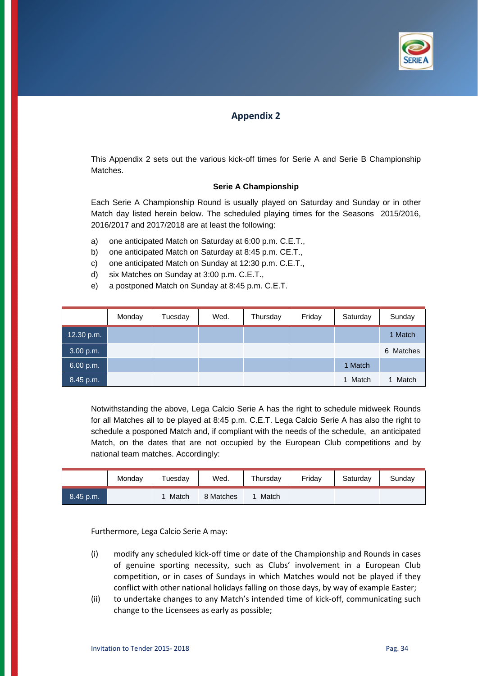

# **Appendix 2**

This Appendix 2 sets out the various kick-off times for Serie A and Serie B Championship Matches.

## **Serie A Championship**

Each Serie A Championship Round is usually played on Saturday and Sunday or in other Match day listed herein below. The scheduled playing times for the Seasons 2015/2016, 2016/2017 and 2017/2018 are at least the following:

- a) one anticipated Match on Saturday at 6:00 p.m. C.E.T.,
- b) one anticipated Match on Saturday at 8:45 p.m. CE.T.,
- c) one anticipated Match on Sunday at 12:30 p.m. C.E.T.,
- d) six Matches on Sunday at 3:00 p.m. C.E.T.,
- e) a postponed Match on Sunday at 8:45 p.m. C.E.T.

|            | Monday | Tuesday | Wed. | Thursday | Friday | Saturday | Sunday    |
|------------|--------|---------|------|----------|--------|----------|-----------|
| 12.30 p.m. |        |         |      |          |        |          | 1 Match   |
| 3.00 p.m.  |        |         |      |          |        |          | 6 Matches |
| 6.00 p.m.  |        |         |      |          |        | 1 Match  |           |
| 8.45 p.m.  |        |         |      |          |        | 1 Match  | Match     |

Notwithstanding the above, Lega Calcio Serie A has the right to schedule midweek Rounds for all Matches all to be played at 8:45 p.m. C.E.T. Lega Calcio Serie A has also the right to schedule a posponed Match and, if compliant with the needs of the schedule, an anticipated Match, on the dates that are not occupied by the European Club competitions and by national team matches. Accordingly:

|           | Monday | Tuesday | Wed.      | Thursday | Fridav | Saturday | Sunday |
|-----------|--------|---------|-----------|----------|--------|----------|--------|
| 8.45 p.m. |        | Match   | 8 Matches | Match    |        |          |        |

Furthermore, Lega Calcio Serie A may:

- (i) modify any scheduled kick‐off time or date of the Championship and Rounds in cases of genuine sporting necessity, such as Clubs' involvement in a European Club competition, or in cases of Sundays in which Matches would not be played if they conflict with other national holidays falling on those days, by way of example Easter;
- (ii) to undertake changes to any Match's intended time of kick‐off, communicating such change to the Licensees as early as possible;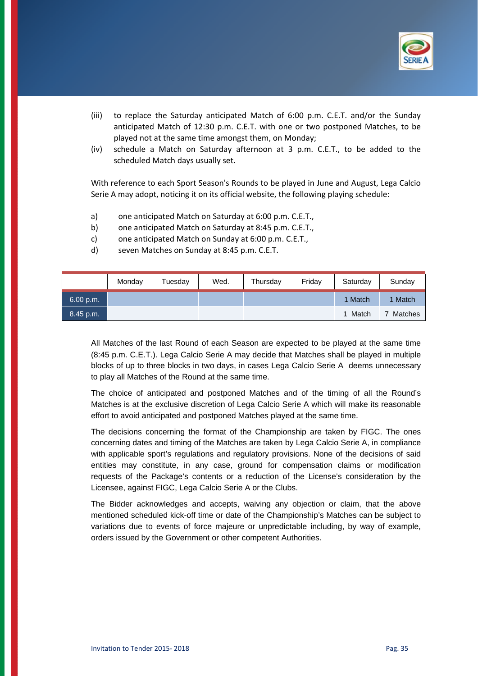

- (iii) to replace the Saturday anticipated Match of 6:00 p.m. C.E.T. and/or the Sunday anticipated Match of 12:30 p.m. C.E.T. with one or two postponed Matches, to be played not at the same time amongst them, on Monday;
- (iv) schedule a Match on Saturday afternoon at 3 p.m. C.E.T., to be added to the scheduled Match days usually set.

With reference to each Sport Season's Rounds to be played in June and August, Lega Calcio Serie A may adopt, noticing it on its official website, the following playing schedule:

- a) one anticipated Match on Saturday at 6:00 p.m. C.E.T.,
- b) one anticipated Match on Saturday at 8:45 p.m. C.E.T.,
- c) one anticipated Match on Sunday at 6:00 p.m. C.E.T.,
- d) seven Matches on Sunday at 8:45 p.m. C.E.T.

|           | Monday | Tuesdav | Wed. | Thursday | Friday | Saturday | Sunday         |
|-----------|--------|---------|------|----------|--------|----------|----------------|
| 6.00 p.m. |        |         |      |          |        | 1 Match  | Match          |
| 8.45 p.m. |        |         |      |          |        | 1 Match  | <b>Matches</b> |

All Matches of the last Round of each Season are expected to be played at the same time (8:45 p.m. C.E.T.). Lega Calcio Serie A may decide that Matches shall be played in multiple blocks of up to three blocks in two days, in cases Lega Calcio Serie A deems unnecessary to play all Matches of the Round at the same time.

The choice of anticipated and postponed Matches and of the timing of all the Round's Matches is at the exclusive discretion of Lega Calcio Serie A which will make its reasonable effort to avoid anticipated and postponed Matches played at the same time.

The decisions concerning the format of the Championship are taken by FIGC. The ones concerning dates and timing of the Matches are taken by Lega Calcio Serie A, in compliance with applicable sport's regulations and regulatory provisions. None of the decisions of said entities may constitute, in any case, ground for compensation claims or modification requests of the Package's contents or a reduction of the License's consideration by the Licensee, against FIGC, Lega Calcio Serie A or the Clubs.

The Bidder acknowledges and accepts, waiving any objection or claim, that the above mentioned scheduled kick-off time or date of the Championship's Matches can be subject to variations due to events of force majeure or unpredictable including, by way of example, orders issued by the Government or other competent Authorities.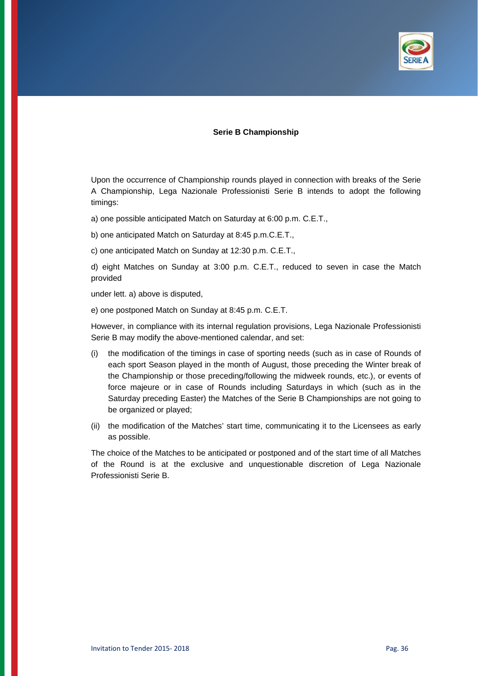

#### **Serie B Championship**

Upon the occurrence of Championship rounds played in connection with breaks of the Serie A Championship, Lega Nazionale Professionisti Serie B intends to adopt the following timings:

a) one possible anticipated Match on Saturday at 6:00 p.m. C.E.T.,

b) one anticipated Match on Saturday at 8:45 p.m.C.E.T.,

c) one anticipated Match on Sunday at 12:30 p.m. C.E.T.,

d) eight Matches on Sunday at 3:00 p.m. C.E.T., reduced to seven in case the Match provided

under lett. a) above is disputed,

e) one postponed Match on Sunday at 8:45 p.m. C.E.T.

However, in compliance with its internal regulation provisions, Lega Nazionale Professionisti Serie B may modify the above-mentioned calendar, and set:

- (i) the modification of the timings in case of sporting needs (such as in case of Rounds of each sport Season played in the month of August, those preceding the Winter break of the Championship or those preceding/following the midweek rounds, etc.), or events of force majeure or in case of Rounds including Saturdays in which (such as in the Saturday preceding Easter) the Matches of the Serie B Championships are not going to be organized or played;
- (ii) the modification of the Matches' start time, communicating it to the Licensees as early as possible.

The choice of the Matches to be anticipated or postponed and of the start time of all Matches of the Round is at the exclusive and unquestionable discretion of Lega Nazionale Professionisti Serie B.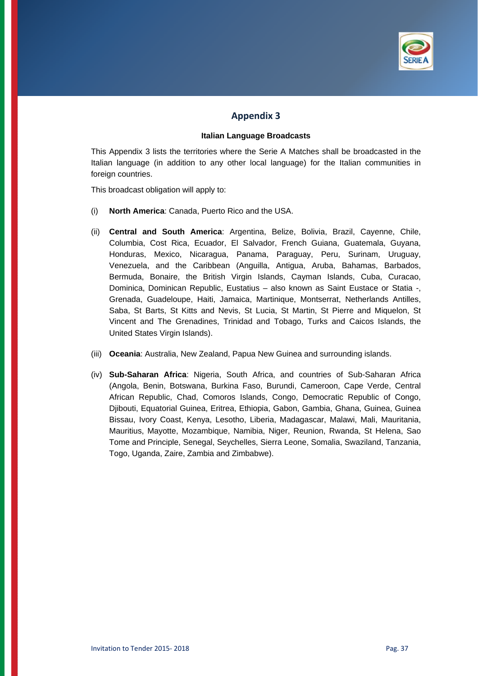

# **Appendix 3**

#### **Italian Language Broadcasts**

This Appendix 3 lists the territories where the Serie A Matches shall be broadcasted in the Italian language (in addition to any other local language) for the Italian communities in foreign countries.

This broadcast obligation will apply to:

- (i) **North America**: Canada, Puerto Rico and the USA.
- (ii) **Central and South America**: Argentina, Belize, Bolivia, Brazil, Cayenne, Chile, Columbia, Cost Rica, Ecuador, El Salvador, French Guiana, Guatemala, Guyana, Honduras, Mexico, Nicaragua, Panama, Paraguay, Peru, Surinam, Uruguay, Venezuela, and the Caribbean (Anguilla, Antigua, Aruba, Bahamas, Barbados, Bermuda, Bonaire, the British Virgin Islands, Cayman Islands, Cuba, Curacao, Dominica, Dominican Republic, Eustatius – also known as Saint Eustace or Statia -, Grenada, Guadeloupe, Haiti, Jamaica, Martinique, Montserrat, Netherlands Antilles, Saba, St Barts, St Kitts and Nevis, St Lucia, St Martin, St Pierre and Miquelon, St Vincent and The Grenadines, Trinidad and Tobago, Turks and Caicos Islands, the United States Virgin Islands).
- (iii) **Oceania**: Australia, New Zealand, Papua New Guinea and surrounding islands.
- (iv) **Sub-Saharan Africa**: Nigeria, South Africa, and countries of Sub-Saharan Africa (Angola, Benin, Botswana, Burkina Faso, Burundi, Cameroon, Cape Verde, Central African Republic, Chad, Comoros Islands, Congo, Democratic Republic of Congo, Djibouti, Equatorial Guinea, Eritrea, Ethiopia, Gabon, Gambia, Ghana, Guinea, Guinea Bissau, Ivory Coast, Kenya, Lesotho, Liberia, Madagascar, Malawi, Mali, Mauritania, Mauritius, Mayotte, Mozambique, Namibia, Niger, Reunion, Rwanda, St Helena, Sao Tome and Principle, Senegal, Seychelles, Sierra Leone, Somalia, Swaziland, Tanzania, Togo, Uganda, Zaire, Zambia and Zimbabwe).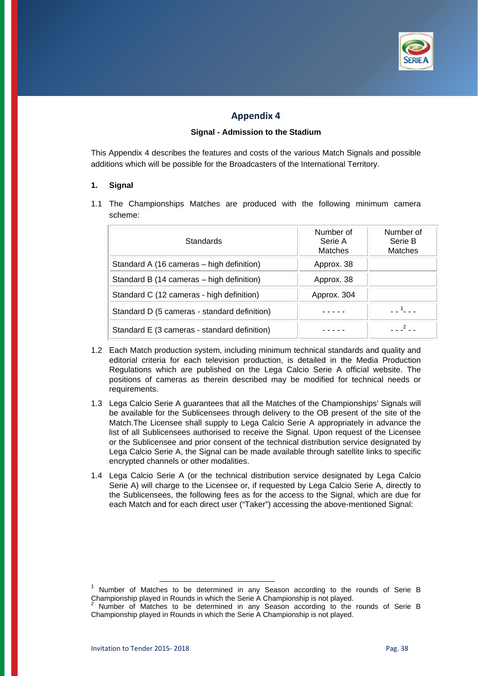

# **Appendix 4**

### **Signal - Admission to the Stadium**

This Appendix 4 describes the features and costs of the various Match Signals and possible additions which will be possible for the Broadcasters of the International Territory.

#### **1. Signal**

1.1 The Championships Matches are produced with the following minimum camera scheme:

| Standards                                    | Number of<br>Serie A<br>Matches | Number of<br>Serie B<br><b>Matches</b> |
|----------------------------------------------|---------------------------------|----------------------------------------|
| Standard A (16 cameras – high definition)    | Approx. 38                      |                                        |
| Standard B (14 cameras – high definition)    | Approx. 38                      |                                        |
| Standard C (12 cameras - high definition)    | Approx. 304                     |                                        |
| Standard D (5 cameras - standard definition) |                                 |                                        |
| Standard E (3 cameras - standard definition) |                                 |                                        |

- 1.2 Each Match production system, including minimum technical standards and quality and editorial criteria for each television production, is detailed in the Media Production Regulations which are published on the Lega Calcio Serie A official website. The positions of cameras as therein described may be modified for technical needs or requirements.
- 1.3 Lega Calcio Serie A guarantees that all the Matches of the Championships' Signals will be available for the Sublicensees through delivery to the OB present of the site of the Match.The Licensee shall supply to Lega Calcio Serie A appropriately in advance the list of all Sublicensees authorised to receive the Signal. Upon request of the Licensee or the Sublicensee and prior consent of the technical distribution service designated by Lega Calcio Serie A, the Signal can be made available through satellite links to specific encrypted channels or other modalities.
- 1.4 Lega Calcio Serie A (or the technical distribution service designated by Lega Calcio Serie A) will charge to the Licensee or, if requested by Lega Calcio Serie A, directly to the Sublicensees, the following fees as for the access to the Signal, which are due for each Match and for each direct user ("Taker") accessing the above-mentioned Signal:

Number of Matches to be determined in any Season according to the rounds of Serie B Championship played in Rounds in which the Serie A Championship is not played. 2

Number of Matches to be determined in any Season according to the rounds of Serie B Championship played in Rounds in which the Serie A Championship is not played.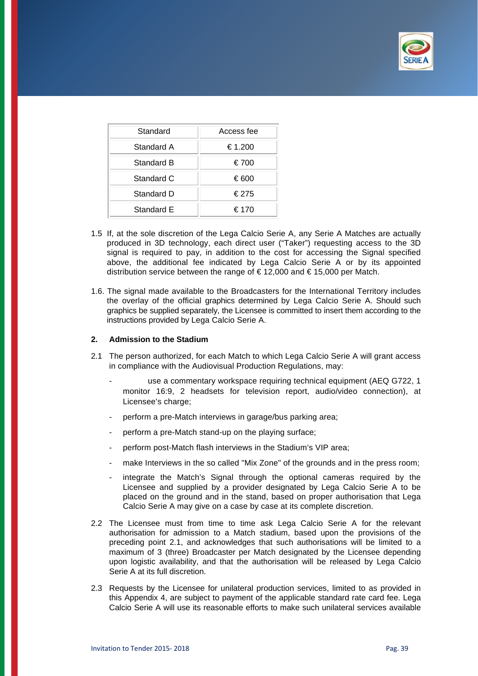

| Standard   | Access fee |
|------------|------------|
| Standard A | €1.200     |
| Standard B | €700       |
| Standard C | €600       |
| Standard D | €275       |
| Standard E | € 170      |

- 1.5 If, at the sole discretion of the Lega Calcio Serie A, any Serie A Matches are actually produced in 3D technology, each direct user ("Taker") requesting access to the 3D signal is required to pay, in addition to the cost for accessing the Signal specified above, the additional fee indicated by Lega Calcio Serie A or by its appointed distribution service between the range of €12,000 and €15,000 per Match.
- 1.6. The signal made available to the Broadcasters for the International Territory includes the overlay of the official graphics determined by Lega Calcio Serie A. Should such graphics be supplied separately, the Licensee is committed to insert them according to the instructions provided by Lega Calcio Serie A.

#### **2. Admission to the Stadium**

- 2.1 The person authorized, for each Match to which Lega Calcio Serie A will grant access in compliance with the Audiovisual Production Regulations, may:
	- use a commentary workspace requiring technical equipment (AEQ G722, 1) monitor 16:9, 2 headsets for television report, audio/video connection), at Licensee's charge:
	- perform a pre-Match interviews in garage/bus parking area;
	- perform a pre-Match stand-up on the playing surface;
	- perform post-Match flash interviews in the Stadium's VIP area;
	- make Interviews in the so called "Mix Zone" of the grounds and in the press room;
	- integrate the Match's Signal through the optional cameras required by the Licensee and supplied by a provider designated by Lega Calcio Serie A to be placed on the ground and in the stand, based on proper authorisation that Lega Calcio Serie A may give on a case by case at its complete discretion.
- 2.2 The Licensee must from time to time ask Lega Calcio Serie A for the relevant authorisation for admission to a Match stadium, based upon the provisions of the preceding point 2.1, and acknowledges that such authorisations will be limited to a maximum of 3 (three) Broadcaster per Match designated by the Licensee depending upon logistic availability, and that the authorisation will be released by Lega Calcio Serie A at its full discretion.
- 2.3 Requests by the Licensee for unilateral production services, limited to as provided in this Appendix 4, are subject to payment of the applicable standard rate card fee. Lega Calcio Serie A will use its reasonable efforts to make such unilateral services available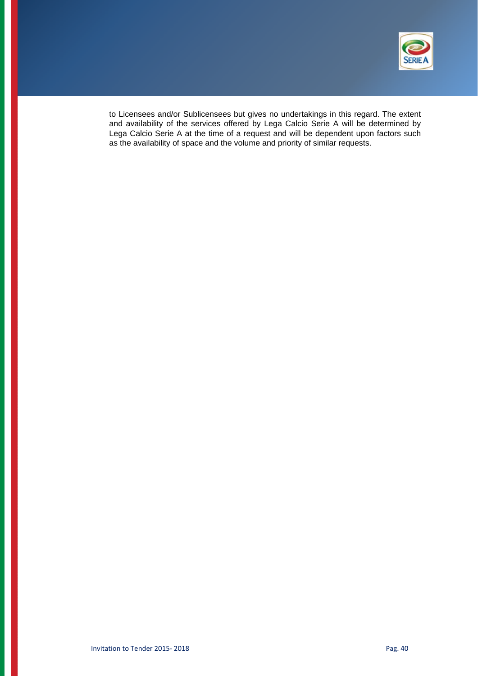

to Licensees and/or Sublicensees but gives no undertakings in this regard. The extent and availability of the services offered by Lega Calcio Serie A will be determined by Lega Calcio Serie A at the time of a request and will be dependent upon factors such as the availability of space and the volume and priority of similar requests.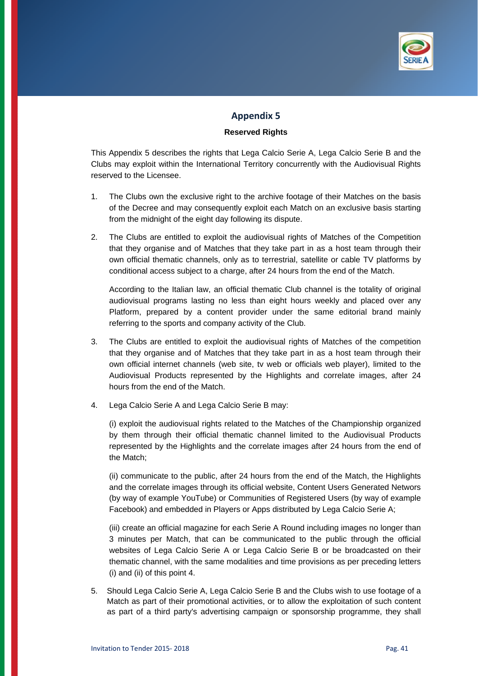

# **Appendix 5**

#### **Reserved Rights**

This Appendix 5 describes the rights that Lega Calcio Serie A, Lega Calcio Serie B and the Clubs may exploit within the International Territory concurrently with the Audiovisual Rights reserved to the Licensee.

- 1. The Clubs own the exclusive right to the archive footage of their Matches on the basis of the Decree and may consequently exploit each Match on an exclusive basis starting from the midnight of the eight day following its dispute.
- 2. The Clubs are entitled to exploit the audiovisual rights of Matches of the Competition that they organise and of Matches that they take part in as a host team through their own official thematic channels, only as to terrestrial, satellite or cable TV platforms by conditional access subject to a charge, after 24 hours from the end of the Match.

 According to the Italian law, an official thematic Club channel is the totality of original audiovisual programs lasting no less than eight hours weekly and placed over any Platform, prepared by a content provider under the same editorial brand mainly referring to the sports and company activity of the Club.

- 3. The Clubs are entitled to exploit the audiovisual rights of Matches of the competition that they organise and of Matches that they take part in as a host team through their own official internet channels (web site, tv web or officials web player), limited to the Audiovisual Products represented by the Highlights and correlate images, after 24 hours from the end of the Match.
- 4. Lega Calcio Serie A and Lega Calcio Serie B may:

 (i) exploit the audiovisual rights related to the Matches of the Championship organized by them through their official thematic channel limited to the Audiovisual Products represented by the Highlights and the correlate images after 24 hours from the end of the Match;

 (ii) communicate to the public, after 24 hours from the end of the Match, the Highlights and the correlate images through its official website, Content Users Generated Networs (by way of example YouTube) or Communities of Registered Users (by way of example Facebook) and embedded in Players or Apps distributed by Lega Calcio Serie A;

 (iii) create an official magazine for each Serie A Round including images no longer than 3 minutes per Match, that can be communicated to the public through the official websites of Lega Calcio Serie A or Lega Calcio Serie B or be broadcasted on their thematic channel, with the same modalities and time provisions as per preceding letters (i) and (ii) of this point 4.

5. Should Lega Calcio Serie A, Lega Calcio Serie B and the Clubs wish to use footage of a Match as part of their promotional activities, or to allow the exploitation of such content as part of a third party's advertising campaign or sponsorship programme, they shall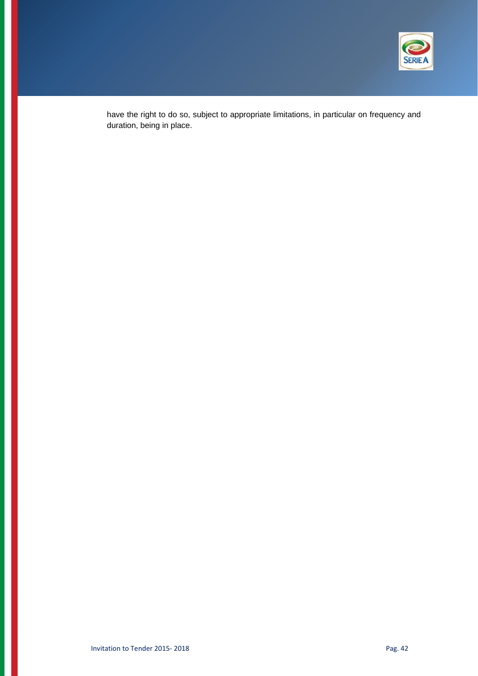

have the right to do so, subject to appropriate limitations, in particular on frequency and duration, being in place.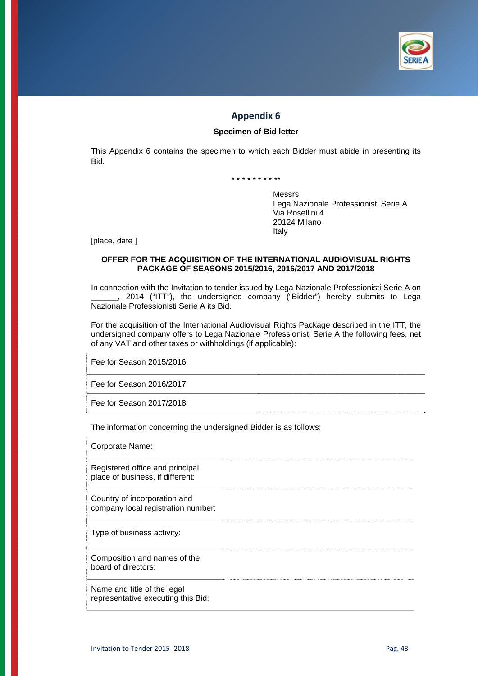

# **Appendix 6**

### **Specimen of Bid letter**

This Appendix 6 contains the specimen to which each Bidder must abide in presenting its Bid.

\* \* \* \* \* \* \* \* \*\*

Messrs Lega Nazionale Professionisti Serie A Via Rosellini 4 20124 Milano Italy

[place, date ]

#### **OFFER FOR THE ACQUISITION OF THE INTERNATIONAL AUDIOVISUAL RIGHTS PACKAGE OF SEASONS 2015/2016, 2016/2017 AND 2017/2018**

In connection with the Invitation to tender issued by Lega Nazionale Professionisti Serie A on \_\_\_\_\_\_, 2014 ("ITT"), the undersigned company ("Bidder") hereby submits to Lega Nazionale Professionisti Serie A its Bid.

For the acquisition of the International Audiovisual Rights Package described in the ITT, the undersigned company offers to Lega Nazionale Professionisti Serie A the following fees, net of any VAT and other taxes or withholdings (if applicable):

Fee for Season 2015/2016:

Fee for Season 2016/2017:

Fee for Season 2017/2018:

The information concerning the undersigned Bidder is as follows:

Corporate Name:

Registered office and principal place of business, if different:

Country of incorporation and company local registration number:

Type of business activity:

Composition and names of the board of directors:

Name and title of the legal representative executing this Bid: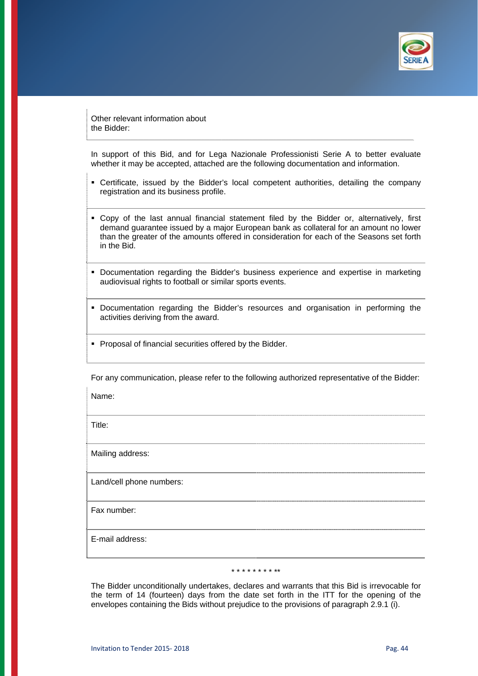

Other relevant information about the Bidder:

In support of this Bid, and for Lega Nazionale Professionisti Serie A to better evaluate whether it may be accepted, attached are the following documentation and information.

- Certificate, issued by the Bidder's local competent authorities, detailing the company registration and its business profile.
- Copy of the last annual financial statement filed by the Bidder or, alternatively, first demand guarantee issued by a major European bank as collateral for an amount no lower than the greater of the amounts offered in consideration for each of the Seasons set forth in the Bid.
- Documentation regarding the Bidder's business experience and expertise in marketing audiovisual rights to football or similar sports events.
- Documentation regarding the Bidder's resources and organisation in performing the activities deriving from the award.
- **Proposal of financial securities offered by the Bidder.**

For any communication, please refer to the following authorized representative of the Bidder:

Name:

Title:

Mailing address:

Land/cell phone numbers:

Fax number:

E-mail address:

\* \* \* \* \* \* \* \* \*\*

The Bidder unconditionally undertakes, declares and warrants that this Bid is irrevocable for the term of 14 (fourteen) days from the date set forth in the ITT for the opening of the envelopes containing the Bids without prejudice to the provisions of paragraph 2.9.1 (i).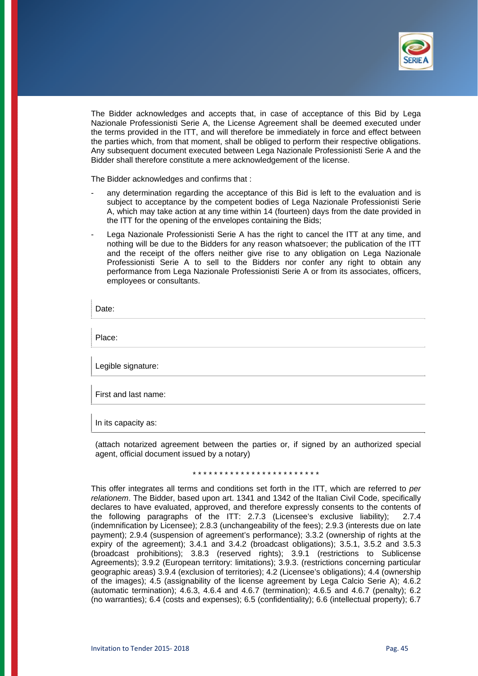

The Bidder acknowledges and accepts that, in case of acceptance of this Bid by Lega Nazionale Professionisti Serie A, the License Agreement shall be deemed executed under the terms provided in the ITT, and will therefore be immediately in force and effect between the parties which, from that moment, shall be obliged to perform their respective obligations. Any subsequent document executed between Lega Nazionale Professionisti Serie A and the Bidder shall therefore constitute a mere acknowledgement of the license.

The Bidder acknowledges and confirms that :

- any determination regarding the acceptance of this Bid is left to the evaluation and is subject to acceptance by the competent bodies of Lega Nazionale Professionisti Serie A, which may take action at any time within 14 (fourteen) days from the date provided in the ITT for the opening of the envelopes containing the Bids;
- Lega Nazionale Professionisti Serie A has the right to cancel the ITT at any time, and nothing will be due to the Bidders for any reason whatsoever; the publication of the ITT and the receipt of the offers neither give rise to any obligation on Lega Nazionale Professionisti Serie A to sell to the Bidders nor confer any right to obtain any performance from Lega Nazionale Professionisti Serie A or from its associates, officers, employees or consultants.

Date:

Place:

Legible signature:

First and last name:

In its capacity as:

(attach notarized agreement between the parties or, if signed by an authorized special agent, official document issued by a notary)

\* \* \* \* \* \* \* \* \* \* \* \* \* \* \* \* \* \* \* \* \* \* \* \*

This offer integrates all terms and conditions set forth in the ITT, which are referred to *per relationem*. The Bidder, based upon art. 1341 and 1342 of the Italian Civil Code, specifically declares to have evaluated, approved, and therefore expressly consents to the contents of the following paragraphs of the ITT: 2.7.3 (Licensee's exclusive liability); 2.7.4 (indemnification by Licensee); 2.8.3 (unchangeability of the fees); 2.9.3 (interests due on late payment); 2.9.4 (suspension of agreement's performance); 3.3.2 (ownership of rights at the expiry of the agreement); 3.4.1 and 3.4.2 (broadcast obligations); 3.5.1, 3.5.2 and 3.5.3 (broadcast prohibitions); 3.8.3 (reserved rights); 3.9.1 (restrictions to Sublicense Agreements); 3.9.2 (European territory: limitations); 3.9.3. (restrictions concerning particular geographic areas) 3.9.4 (exclusion of territories); 4.2 (Licensee's obligations); 4.4 (ownership of the images); 4.5 (assignability of the license agreement by Lega Calcio Serie A); 4.6.2 (automatic termination);  $4.6.3$ ,  $4.6.4$  and  $4.6.7$  (termination);  $4.6.5$  and  $4.6.7$  (penalty); 6.2 (no warranties); 6.4 (costs and expenses); 6.5 (confidentiality); 6.6 (intellectual property); 6.7